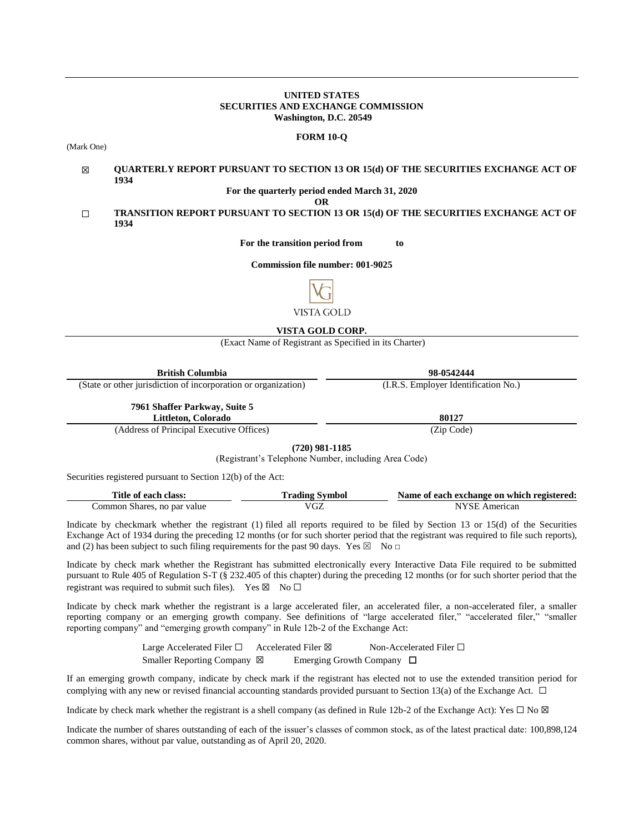#### **UNITED STATES SECURITIES AND EXCHANGE COMMISSION Washington, D.C. 20549**

#### **FORM 10-Q**

(Mark One)

#### ☒ **QUARTERLY REPORT PURSUANT TO SECTION 13 OR 15(d) OF THE SECURITIES EXCHANGE ACT OF 1934**

**For the quarterly period ended March 31, 2020**

**OR**

☐ **TRANSITION REPORT PURSUANT TO SECTION 13 OR 15(d) OF THE SECURITIES EXCHANGE ACT OF 1934**

**For the transition period from to**

**Commission file number: 001-9025**



# **VISTA GOLD CORP.**

(Exact Name of Registrant as Specified in its Charter)

| British Columbia                                               | 98-0542444                           |
|----------------------------------------------------------------|--------------------------------------|
| (State or other jurisdiction of incorporation or organization) | (I.R.S. Employer Identification No.) |
| 7961 Shaffer Parkway, Suite 5                                  |                                      |

**Littleton, Colorado 80127**

(Address of Principal Executive Offices) (Zip Code)

**(720) 981-1185**

(Registrant's Telephone Number, including Area Code)

Securities registered pursuant to Section 12(b) of the Act:

| Title of each class:        | <b>Trading Symbol</b> | Name of each exchange on which registered: |
|-----------------------------|-----------------------|--------------------------------------------|
| Common Shares, no par value | VGZ                   | NYSE American                              |

Indicate by checkmark whether the registrant (1) filed all reports required to be filed by Section 13 or 15(d) of the Securities Exchange Act of 1934 during the preceding 12 months (or for such shorter period that the registrant was required to file such reports), and (2) has been subject to such filing requirements for the past 90 days. Yes  $\boxtimes$  No  $\Box$ 

Indicate by check mark whether the Registrant has submitted electronically every Interactive Data File required to be submitted pursuant to Rule 405 of Regulation S-T (§ 232.405 of this chapter) during the preceding 12 months (or for such shorter period that the registrant was required to submit such files). Yes  $\boxtimes$  No  $\Box$ 

Indicate by check mark whether the registrant is a large accelerated filer, an accelerated filer, a non-accelerated filer, a smaller reporting company or an emerging growth company. See definitions of "large accelerated filer," "accelerated filer," "smaller reporting company" and "emerging growth company" in Rule 12b-2 of the Exchange Act:

> Large Accelerated Filer □ Accelerated Filer ⊠ Non-Accelerated Filer □ Smaller Reporting Company ⊠ Emerging Growth Company □

If an emerging growth company, indicate by check mark if the registrant has elected not to use the extended transition period for complying with any new or revised financial accounting standards provided pursuant to Section 13(a) of the Exchange Act.  $\Box$ 

Indicate by check mark whether the registrant is a shell company (as defined in Rule 12b-2 of the Exchange Act): Yes  $\Box$  No  $\boxtimes$ 

Indicate the number of shares outstanding of each of the issuer's classes of common stock, as of the latest practical date: 100,898,124 common shares, without par value, outstanding as of April 20, 2020.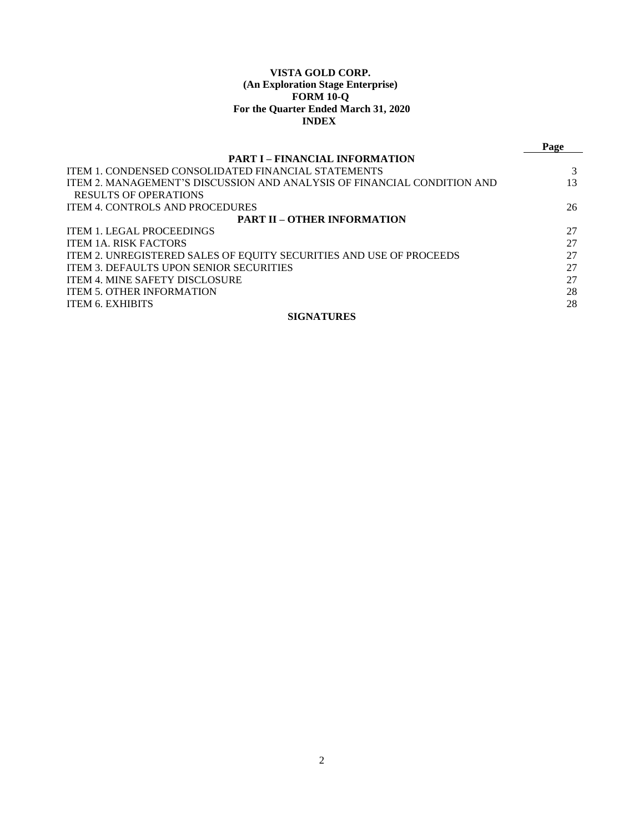# **VISTA GOLD CORP. (An Exploration Stage Enterprise) FORM 10-Q For the Quarter Ended March 31, 2020 INDEX**

|                                                                         | Page |
|-------------------------------------------------------------------------|------|
| <b>PART I – FINANCIAL INFORMATION</b>                                   |      |
| <b>ITEM 1. CONDENSED CONSOLIDATED FINANCIAL STATEMENTS</b>              |      |
| ITEM 2. MANAGEMENT'S DISCUSSION AND ANALYSIS OF FINANCIAL CONDITION AND | 13   |
| <b>RESULTS OF OPERATIONS</b>                                            |      |
| <b>ITEM 4. CONTROLS AND PROCEDURES</b>                                  | 26   |
| <b>PART II – OTHER INFORMATION</b>                                      |      |
| <b>ITEM 1. LEGAL PROCEEDINGS</b>                                        | 27   |
| <b>ITEM 1A. RISK FACTORS</b>                                            | 27   |
| ITEM 2. UNREGISTERED SALES OF EQUITY SECURITIES AND USE OF PROCEEDS     | 27   |
| <b>ITEM 3. DEFAULTS UPON SENIOR SECURITIES</b>                          | 27   |
| <b>ITEM 4. MINE SAFETY DISCLOSURE</b>                                   | 27   |
| <b>ITEM 5. OTHER INFORMATION</b>                                        | 28   |
| <b>ITEM 6. EXHIBITS</b>                                                 | 28   |
| <b>SIGNATURES</b>                                                       |      |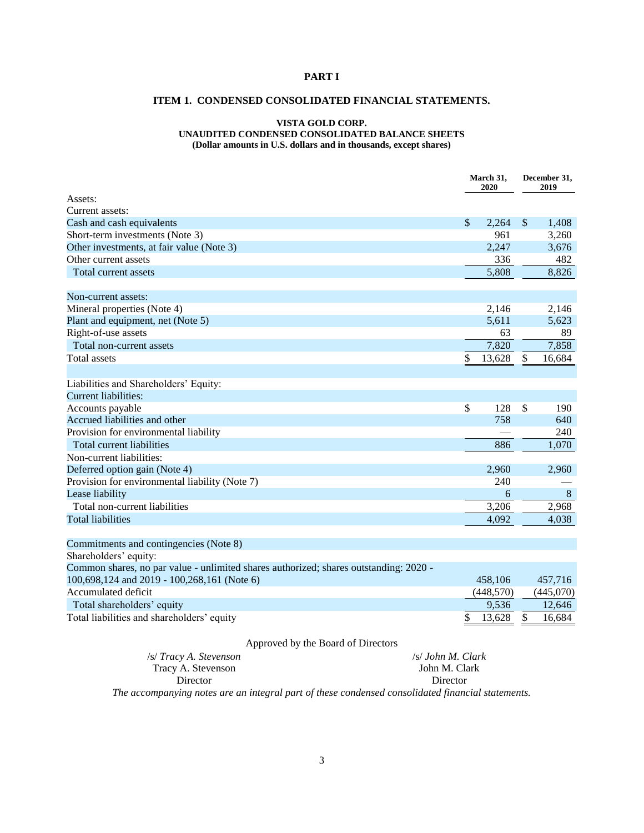# <span id="page-2-1"></span><span id="page-2-0"></span>**PART I**

# **ITEM 1. CONDENSED CONSOLIDATED FINANCIAL STATEMENTS.**

# **VISTA GOLD CORP. UNAUDITED CONDENSED CONSOLIDATED BALANCE SHEETS**

**(Dollar amounts in U.S. dollars and in thousands, except shares)**

|                                                                                       | March 31,<br>2020 |            | December 31,<br>2019 |           |
|---------------------------------------------------------------------------------------|-------------------|------------|----------------------|-----------|
| Assets:                                                                               |                   |            |                      |           |
| Current assets:                                                                       |                   |            |                      |           |
| Cash and cash equivalents                                                             | $\mathbb{S}$      | 2,264      | $\mathcal{S}$        | 1,408     |
| Short-term investments (Note 3)                                                       |                   | 961        |                      | 3,260     |
| Other investments, at fair value (Note 3)                                             |                   | 2,247      |                      | 3,676     |
| Other current assets                                                                  |                   | 336        |                      | 482       |
| Total current assets                                                                  |                   | 5,808      |                      | 8,826     |
| Non-current assets:                                                                   |                   |            |                      |           |
| Mineral properties (Note 4)                                                           |                   | 2,146      |                      | 2,146     |
| Plant and equipment, net (Note 5)                                                     |                   | 5,611      |                      | 5,623     |
| Right-of-use assets                                                                   |                   | 63         |                      | 89        |
| Total non-current assets                                                              |                   | 7,820      |                      | 7,858     |
| <b>Total assets</b>                                                                   | $\$$              | 13,628     | $\mathbb{S}$         | 16,684    |
| Liabilities and Shareholders' Equity:                                                 |                   |            |                      |           |
| <b>Current liabilities:</b>                                                           |                   |            |                      |           |
| Accounts payable                                                                      | $\mathbb{S}$      | 128        | \$                   | 190       |
| Accrued liabilities and other                                                         |                   | 758        |                      | 640       |
| Provision for environmental liability                                                 |                   |            |                      | 240       |
| Total current liabilities                                                             |                   | 886        |                      | 1,070     |
| Non-current liabilities:                                                              |                   |            |                      |           |
| Deferred option gain (Note 4)                                                         |                   | 2,960      |                      | 2,960     |
| Provision for environmental liability (Note 7)                                        |                   | 240        |                      |           |
| Lease liability                                                                       |                   | 6          |                      | 8         |
| Total non-current liabilities                                                         |                   | 3,206      |                      | 2,968     |
| <b>Total liabilities</b>                                                              |                   | 4,092      |                      | 4,038     |
| Commitments and contingencies (Note 8)                                                |                   |            |                      |           |
| Shareholders' equity:                                                                 |                   |            |                      |           |
| Common shares, no par value - unlimited shares authorized; shares outstanding: 2020 - |                   |            |                      |           |
| 100,698,124 and 2019 - 100,268,161 (Note 6)                                           |                   | 458,106    |                      | 457,716   |
| Accumulated deficit                                                                   |                   | (448, 570) |                      | (445,070) |
| Total shareholders' equity                                                            |                   | 9,536      |                      | 12,646    |
| Total liabilities and shareholders' equity                                            | \$                | 13,628     | \$                   | 16,684    |
| Approved by the Board of Directors                                                    |                   |            |                      |           |

| $\ldots$                                                                                          |                   |
|---------------------------------------------------------------------------------------------------|-------------------|
| /s/ Tracy A. Stevenson                                                                            | /s/ John M. Clark |
| Tracy A. Stevenson                                                                                | John M. Clark     |
| Director                                                                                          | Director          |
| The accompanying notes are an integral part of these condensed consolidated financial statements. |                   |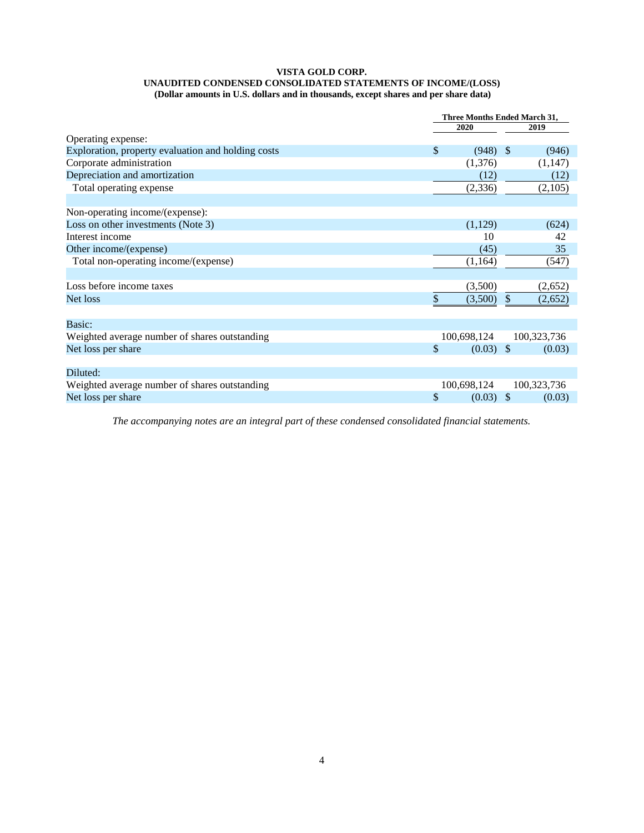#### **VISTA GOLD CORP. UNAUDITED CONDENSED CONSOLIDATED STATEMENTS OF INCOME/(LOSS) (Dollar amounts in U.S. dollars and in thousands, except shares and per share data)**

|                                                    | Three Months Ended March 31, |             |               |             |  |
|----------------------------------------------------|------------------------------|-------------|---------------|-------------|--|
|                                                    |                              | 2020        |               | 2019        |  |
| Operating expense:                                 |                              |             |               |             |  |
| Exploration, property evaluation and holding costs | \$                           | (948)       | -S            | (946)       |  |
| Corporate administration                           |                              | (1,376)     |               | (1,147)     |  |
| Depreciation and amortization                      |                              | (12)        |               | (12)        |  |
| Total operating expense                            |                              | (2, 336)    |               | (2,105)     |  |
|                                                    |                              |             |               |             |  |
| Non-operating income/(expense):                    |                              |             |               |             |  |
| Loss on other investments (Note 3)                 |                              | (1,129)     |               | (624)       |  |
| Interest income                                    |                              | 10          |               | 42          |  |
| Other income/(expense)                             |                              | (45)        |               | 35          |  |
| Total non-operating income/(expense)               |                              | (1,164)     |               | (547)       |  |
|                                                    |                              |             |               |             |  |
| Loss before income taxes                           |                              | (3,500)     |               | (2,652)     |  |
| Net loss                                           | \$                           | (3,500)     | S             | (2,652)     |  |
|                                                    |                              |             |               |             |  |
| Basic:                                             |                              |             |               |             |  |
| Weighted average number of shares outstanding      |                              | 100,698,124 |               | 100,323,736 |  |
| Net loss per share                                 | \$                           | $(0.03)$ \$ |               | (0.03)      |  |
|                                                    |                              |             |               |             |  |
| Diluted:                                           |                              |             |               |             |  |
| Weighted average number of shares outstanding      |                              | 100,698,124 |               | 100,323,736 |  |
| Net loss per share                                 | \$                           | (0.03)      | $\mathcal{S}$ | (0.03)      |  |
|                                                    |                              |             |               |             |  |

*The accompanying notes are an integral part of these condensed consolidated financial statements.*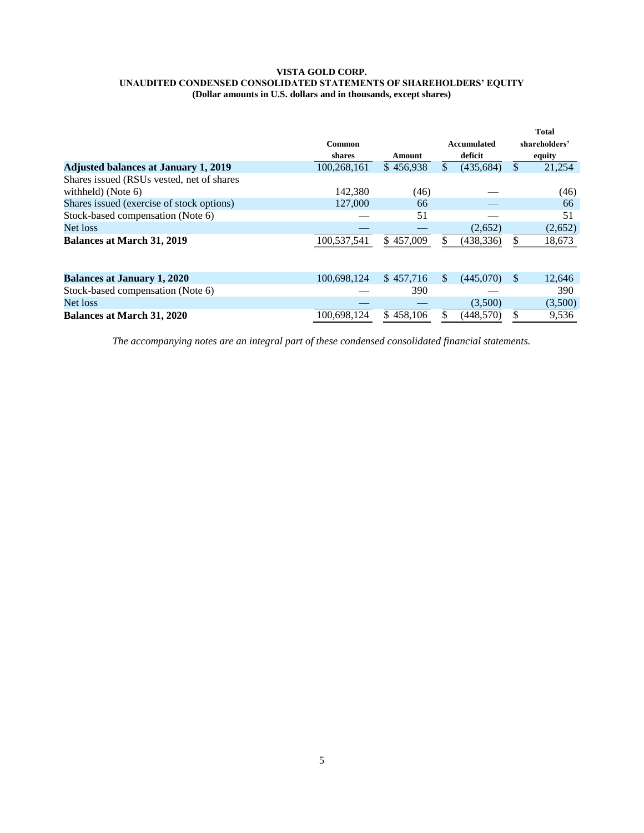#### **VISTA GOLD CORP. UNAUDITED CONDENSED CONSOLIDATED STATEMENTS OF SHAREHOLDERS' EQUITY (Dollar amounts in U.S. dollars and in thousands, except shares)**

|                                             |               |           |                  |               | <b>Total</b>  |
|---------------------------------------------|---------------|-----------|------------------|---------------|---------------|
|                                             | <b>Common</b> |           | Accumulated      |               | shareholders' |
|                                             | shares        | Amount    | deficit          |               | equity        |
| <b>Adjusted balances at January 1, 2019</b> | 100,268,161   | \$456,938 | \$<br>(435, 684) | \$            | 21,254        |
| Shares issued (RSUs vested, net of shares   |               |           |                  |               |               |
| withheld) (Note $6$ )                       | 142.380       | (46)      |                  |               | (46)          |
| Shares issued (exercise of stock options)   | 127,000       | 66        |                  |               | 66            |
| Stock-based compensation (Note 6)           |               | 51        |                  |               | 51            |
| Net loss                                    |               |           | (2,652)          |               | (2,652)       |
| <b>Balances at March 31, 2019</b>           | 100,537,541   | \$457,009 | (438, 336)       | \$            | 18,673        |
|                                             |               |           |                  |               |               |
|                                             |               |           |                  |               |               |
| <b>Balances at January 1, 2020</b>          | 100.698.124   | \$457,716 | \$<br>(445,070)  | <sup>\$</sup> | 12,646        |
| Stock-based compensation (Note 6)           |               | 390       |                  |               | 390           |
| Net loss                                    |               |           | (3,500)          |               | (3,500)       |
| <b>Balances at March 31, 2020</b>           | 100,698,124   | \$458,106 | (448, 570)       | ¢             | 9,536         |
|                                             |               |           |                  |               |               |

*The accompanying notes are an integral part of these condensed consolidated financial statements.*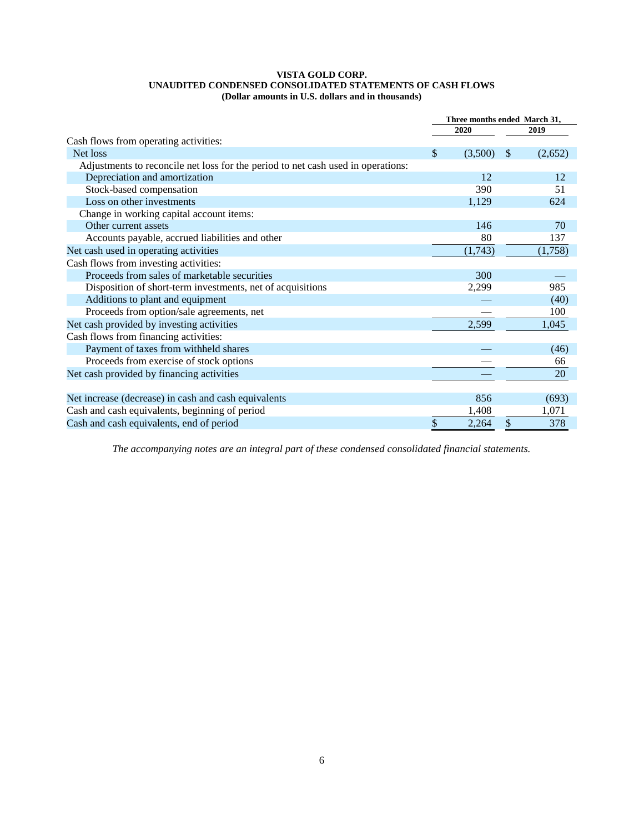#### **VISTA GOLD CORP. UNAUDITED CONDENSED CONSOLIDATED STATEMENTS OF CASH FLOWS (Dollar amounts in U.S. dollars and in thousands)**

|                                                                                  | Three months ended March 31, |         |               |         |  |
|----------------------------------------------------------------------------------|------------------------------|---------|---------------|---------|--|
|                                                                                  |                              | 2020    |               | 2019    |  |
| Cash flows from operating activities:                                            |                              |         |               |         |  |
| Net loss                                                                         | \$                           | (3,500) | <sup>\$</sup> | (2,652) |  |
| Adjustments to reconcile net loss for the period to net cash used in operations: |                              |         |               |         |  |
| Depreciation and amortization                                                    |                              | 12      |               | 12      |  |
| Stock-based compensation                                                         |                              | 390     |               | 51      |  |
| Loss on other investments                                                        |                              | 1,129   |               | 624     |  |
| Change in working capital account items:                                         |                              |         |               |         |  |
| Other current assets                                                             |                              | 146     |               | 70      |  |
| Accounts payable, accrued liabilities and other                                  |                              | 80      |               | 137     |  |
| Net cash used in operating activities                                            |                              | (1,743) |               | (1,758) |  |
| Cash flows from investing activities:                                            |                              |         |               |         |  |
| Proceeds from sales of marketable securities                                     |                              | 300     |               |         |  |
| Disposition of short-term investments, net of acquisitions                       |                              | 2,299   |               | 985     |  |
| Additions to plant and equipment                                                 |                              |         |               | (40)    |  |
| Proceeds from option/sale agreements, net                                        |                              |         |               | 100     |  |
| Net cash provided by investing activities                                        |                              | 2,599   |               | 1,045   |  |
| Cash flows from financing activities:                                            |                              |         |               |         |  |
| Payment of taxes from withheld shares                                            |                              |         |               | (46)    |  |
| Proceeds from exercise of stock options                                          |                              |         |               | 66      |  |
| Net cash provided by financing activities                                        |                              |         |               | 20      |  |
|                                                                                  |                              |         |               |         |  |
| Net increase (decrease) in cash and cash equivalents                             |                              | 856     |               | (693)   |  |
| Cash and cash equivalents, beginning of period                                   |                              | 1,408   |               | 1,071   |  |
| Cash and cash equivalents, end of period                                         | \$                           | 2,264   | \$            | 378     |  |

*The accompanying notes are an integral part of these condensed consolidated financial statements.*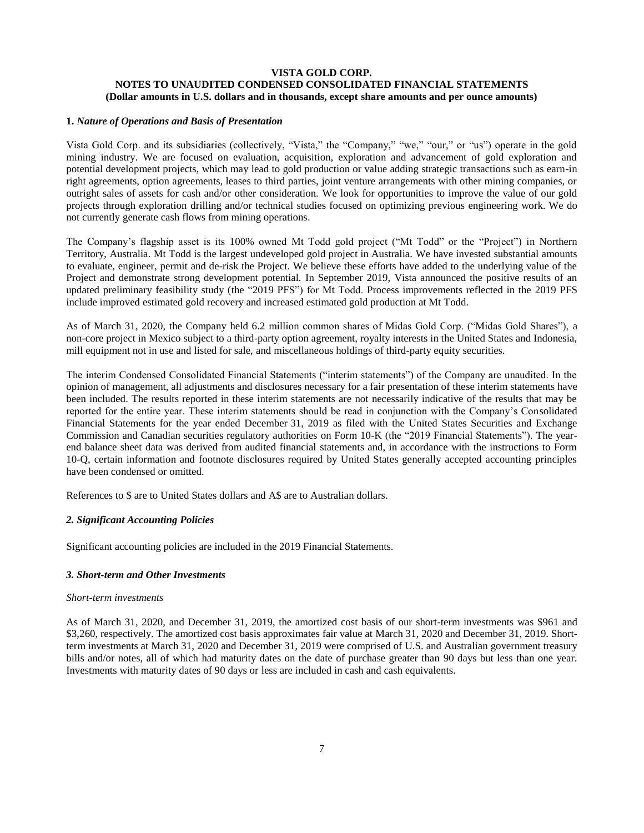# **VISTA GOLD CORP. NOTES TO UNAUDITED CONDENSED CONSOLIDATED FINANCIAL STATEMENTS (Dollar amounts in U.S. dollars and in thousands, except share amounts and per ounce amounts)**

# **1.** *Nature of Operations and Basis of Presentation*

Vista Gold Corp. and its subsidiaries (collectively, "Vista," the "Company," "we," "our," or "us") operate in the gold mining industry. We are focused on evaluation, acquisition, exploration and advancement of gold exploration and potential development projects, which may lead to gold production or value adding strategic transactions such as earn-in right agreements, option agreements, leases to third parties, joint venture arrangements with other mining companies, or outright sales of assets for cash and/or other consideration. We look for opportunities to improve the value of our gold projects through exploration drilling and/or technical studies focused on optimizing previous engineering work. We do not currently generate cash flows from mining operations.

The Company's flagship asset is its 100% owned Mt Todd gold project ("Mt Todd" or the "Project") in Northern Territory, Australia. Mt Todd is the largest undeveloped gold project in Australia. We have invested substantial amounts to evaluate, engineer, permit and de-risk the Project. We believe these efforts have added to the underlying value of the Project and demonstrate strong development potential. In September 2019, Vista announced the positive results of an updated preliminary feasibility study (the "2019 PFS") for Mt Todd. Process improvements reflected in the 2019 PFS include improved estimated gold recovery and increased estimated gold production at Mt Todd.

As of March 31, 2020, the Company held 6.2 million common shares of Midas Gold Corp. ("Midas Gold Shares"), a non-core project in Mexico subject to a third-party option agreement, royalty interests in the United States and Indonesia, mill equipment not in use and listed for sale, and miscellaneous holdings of third-party equity securities.

The interim Condensed Consolidated Financial Statements ("interim statements") of the Company are unaudited. In the opinion of management, all adjustments and disclosures necessary for a fair presentation of these interim statements have been included. The results reported in these interim statements are not necessarily indicative of the results that may be reported for the entire year. These interim statements should be read in conjunction with the Company's Consolidated Financial Statements for the year ended December 31, 2019 as filed with the United States Securities and Exchange Commission and Canadian securities regulatory authorities on Form 10-K (the "2019 Financial Statements"). The yearend balance sheet data was derived from audited financial statements and, in accordance with the instructions to Form 10-Q, certain information and footnote disclosures required by United States generally accepted accounting principles have been condensed or omitted.

References to \$ are to United States dollars and A\$ are to Australian dollars.

# *2. Significant Accounting Policies*

Significant accounting policies are included in the 2019 Financial Statements.

#### *3. Short-term and Other Investments*

#### *Short-term investments*

As of March 31, 2020, and December 31, 2019, the amortized cost basis of our short-term investments was \$961 and \$3,260, respectively. The amortized cost basis approximates fair value at March 31, 2020 and December 31, 2019. Shortterm investments at March 31, 2020 and December 31, 2019 were comprised of U.S. and Australian government treasury bills and/or notes, all of which had maturity dates on the date of purchase greater than 90 days but less than one year. Investments with maturity dates of 90 days or less are included in cash and cash equivalents.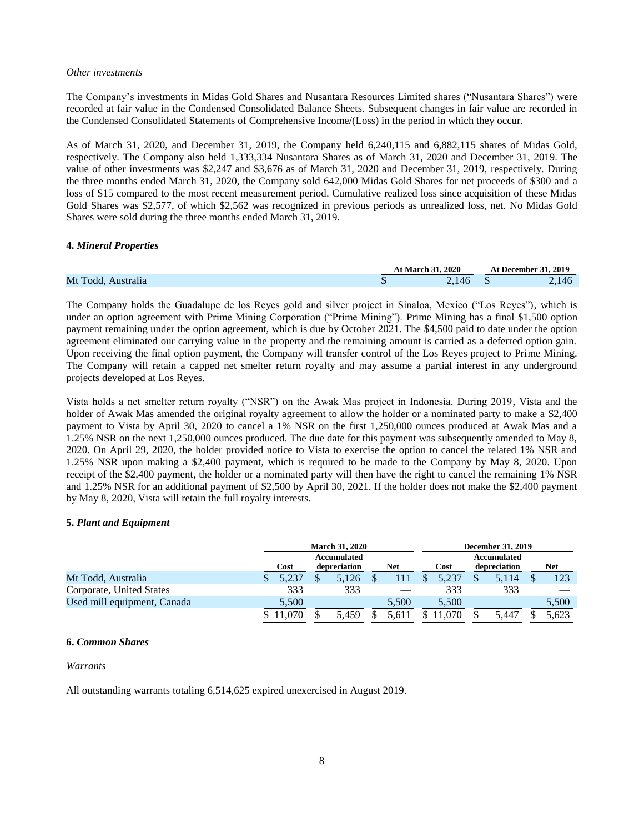#### *Other investments*

The Company's investments in Midas Gold Shares and Nusantara Resources Limited shares ("Nusantara Shares") were recorded at fair value in the Condensed Consolidated Balance Sheets. Subsequent changes in fair value are recorded in the Condensed Consolidated Statements of Comprehensive Income/(Loss) in the period in which they occur.

As of March 31, 2020, and December 31, 2019, the Company held 6,240,115 and 6,882,115 shares of Midas Gold, respectively. The Company also held 1,333,334 Nusantara Shares as of March 31, 2020 and December 31, 2019. The value of other investments was \$2,247 and \$3,676 as of March 31, 2020 and December 31, 2019, respectively. During the three months ended March 31, 2020, the Company sold 642,000 Midas Gold Shares for net proceeds of \$300 and a loss of \$15 compared to the most recent measurement period. Cumulative realized loss since acquisition of these Midas Gold Shares was \$2,577, of which \$2,562 was recognized in previous periods as unrealized loss, net. No Midas Gold Shares were sold during the three months ended March 31, 2019.

#### **4.** *Mineral Properties*

|                    | <b>At March 31, 2020</b> | <b>At December 31, 2019</b> |
|--------------------|--------------------------|-----------------------------|
| Mt Todd, Australia | 2,146                    | 2,146                       |

The Company holds the Guadalupe de los Reyes gold and silver project in Sinaloa, Mexico ("Los Reyes"), which is under an option agreement with Prime Mining Corporation ("Prime Mining"). Prime Mining has a final \$1,500 option payment remaining under the option agreement, which is due by October 2021. The \$4,500 paid to date under the option agreement eliminated our carrying value in the property and the remaining amount is carried as a deferred option gain. Upon receiving the final option payment, the Company will transfer control of the Los Reyes project to Prime Mining. The Company will retain a capped net smelter return royalty and may assume a partial interest in any underground projects developed at Los Reyes.

Vista holds a net smelter return royalty ("NSR") on the Awak Mas project in Indonesia. During 2019, Vista and the holder of Awak Mas amended the original royalty agreement to allow the holder or a nominated party to make a \$2,400 payment to Vista by April 30, 2020 to cancel a 1% NSR on the first 1,250,000 ounces produced at Awak Mas and a 1.25% NSR on the next 1,250,000 ounces produced. The due date for this payment was subsequently amended to May 8, 2020. On April 29, 2020, the holder provided notice to Vista to exercise the option to cancel the related 1% NSR and 1.25% NSR upon making a \$2,400 payment, which is required to be made to the Company by May 8, 2020. Upon receipt of the \$2,400 payment, the holder or a nominated party will then have the right to cancel the remaining 1% NSR and 1.25% NSR for an additional payment of \$2,500 by April 30, 2021. If the holder does not make the \$2,400 payment by May 8, 2020, Vista will retain the full royalty interests.

#### **5.** *Plant and Equipment*

|                             | <b>March 31, 2020</b> |  |              |  | <b>December 31, 2019</b> |  |       |             |              |  |       |
|-----------------------------|-----------------------|--|--------------|--|--------------------------|--|-------|-------------|--------------|--|-------|
|                             | Accumulated           |  |              |  |                          |  |       | Accumulated |              |  |       |
|                             | Cost                  |  | depreciation |  | Net                      |  | Cost  |             | depreciation |  | Net   |
| Mt Todd, Australia          | 5.237                 |  | 5,126        |  |                          |  | 5,237 |             | 5,114        |  | 123   |
| Corporate, United States    | 333                   |  | 333          |  |                          |  | 333   |             | 333          |  |       |
| Used mill equipment, Canada | 5,500                 |  |              |  | 5.500                    |  | 5.500 |             |              |  | 5,500 |
|                             |                       |  | 5.459        |  | 5.61                     |  |       |             | 5.447        |  | 5.623 |

#### **6.** *Common Shares*

#### *Warrants*

All outstanding warrants totaling 6,514,625 expired unexercised in August 2019.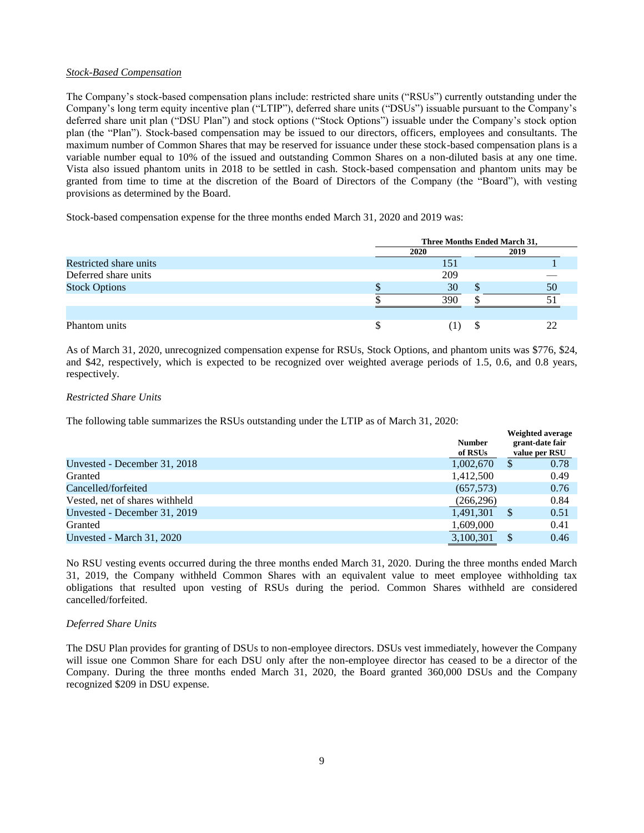## *Stock-Based Compensation*

The Company's stock-based compensation plans include: restricted share units ("RSUs") currently outstanding under the Company's long term equity incentive plan ("LTIP"), deferred share units ("DSUs") issuable pursuant to the Company's deferred share unit plan ("DSU Plan") and stock options ("Stock Options") issuable under the Company's stock option plan (the "Plan"). Stock-based compensation may be issued to our directors, officers, employees and consultants. The maximum number of Common Shares that may be reserved for issuance under these stock-based compensation plans is a variable number equal to 10% of the issued and outstanding Common Shares on a non-diluted basis at any one time. Vista also issued phantom units in 2018 to be settled in cash. Stock-based compensation and phantom units may be granted from time to time at the discretion of the Board of Directors of the Company (the "Board"), with vesting provisions as determined by the Board.

Stock-based compensation expense for the three months ended March 31, 2020 and 2019 was:

|                        | Three Months Ended March 31, |  |      |  |  |
|------------------------|------------------------------|--|------|--|--|
|                        | 2020                         |  | 2019 |  |  |
| Restricted share units | 151                          |  |      |  |  |
| Deferred share units   | 209                          |  |      |  |  |
| <b>Stock Options</b>   | 30                           |  | 50   |  |  |
|                        | 390                          |  |      |  |  |
|                        |                              |  |      |  |  |
| Phantom units          |                              |  |      |  |  |

As of March 31, 2020, unrecognized compensation expense for RSUs, Stock Options, and phantom units was \$776, \$24, and \$42, respectively, which is expected to be recognized over weighted average periods of 1.5, 0.6, and 0.8 years, respectively.

#### *Restricted Share Units*

The following table summarizes the RSUs outstanding under the LTIP as of March 31, 2020:

|                                | <b>Number</b><br>of RSUs |    | Weighted average<br>grant-date fair<br>value per RSU |
|--------------------------------|--------------------------|----|------------------------------------------------------|
| Unvested - December 31, 2018   | 1,002,670                | \$ | 0.78                                                 |
| Granted                        | 1,412,500                |    | 0.49                                                 |
| Cancelled/forfeited            | (657,573)                |    | 0.76                                                 |
| Vested, net of shares withheld | (266, 296)               |    | 0.84                                                 |
| Unvested - December 31, 2019   | 1,491,301                | S  | 0.51                                                 |
| Granted                        | 1,609,000                |    | 0.41                                                 |
| Unvested - March 31, 2020      | 3,100,301                |    | 0.46                                                 |

No RSU vesting events occurred during the three months ended March 31, 2020. During the three months ended March 31, 2019, the Company withheld Common Shares with an equivalent value to meet employee withholding tax obligations that resulted upon vesting of RSUs during the period. Common Shares withheld are considered cancelled/forfeited.

## *Deferred Share Units*

The DSU Plan provides for granting of DSUs to non-employee directors. DSUs vest immediately, however the Company will issue one Common Share for each DSU only after the non-employee director has ceased to be a director of the Company. During the three months ended March 31, 2020, the Board granted 360,000 DSUs and the Company recognized \$209 in DSU expense.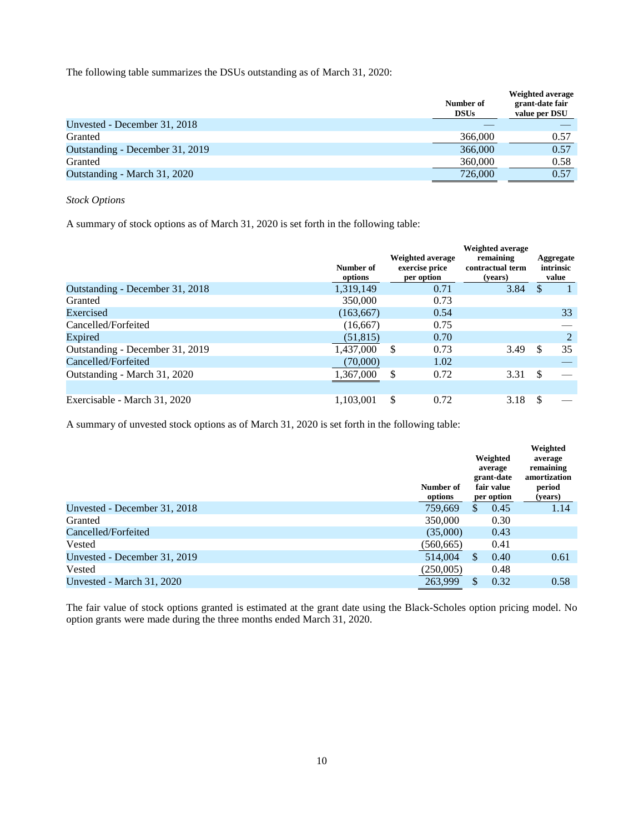The following table summarizes the DSUs outstanding as of March 31, 2020:

|                                 | Number of<br><b>DSUs</b> | <b>Weighted average</b><br>grant-date fair<br>value per DSU |
|---------------------------------|--------------------------|-------------------------------------------------------------|
| Unvested - December 31, 2018    |                          |                                                             |
| Granted                         | 366,000                  | 0.57                                                        |
| Outstanding - December 31, 2019 | 366,000                  | 0.57                                                        |
| Granted                         | 360,000                  | 0.58                                                        |
| Outstanding - March 31, 2020    | 726,000                  | 0.57                                                        |

# *Stock Options*

A summary of stock options as of March 31, 2020 is set forth in the following table:

|                                 | Number of<br>options | Weighted average<br>exercise price<br>per option | <b>Weighted average</b><br>remaining<br>contractual term<br>(years) |    | Aggregate<br>intrinsic<br>value |
|---------------------------------|----------------------|--------------------------------------------------|---------------------------------------------------------------------|----|---------------------------------|
| Outstanding - December 31, 2018 | 1,319,149            | 0.71                                             | 3.84                                                                | \$ |                                 |
| Granted                         | 350,000              | 0.73                                             |                                                                     |    |                                 |
| Exercised                       | (163, 667)           | 0.54                                             |                                                                     |    | 33                              |
| Cancelled/Forfeited             | (16, 667)            | 0.75                                             |                                                                     |    |                                 |
| Expired                         | (51, 815)            | 0.70                                             |                                                                     |    | 2                               |
| Outstanding - December 31, 2019 | 1,437,000            | -S<br>0.73                                       | 3.49                                                                | S  | 35                              |
| Cancelled/Forfeited             | (70,000)             | 1.02                                             |                                                                     |    |                                 |
| Outstanding - March 31, 2020    | 1,367,000            | <sup>\$</sup><br>0.72                            | 3.31                                                                | \$ |                                 |
| Exercisable - March 31, 2020    | 1,103,001            | \$<br>0.72                                       | 3.18                                                                | \$ |                                 |

A summary of unvested stock options as of March 31, 2020 is set forth in the following table:

|                              | Number of<br>options | Weighted<br>average<br>grant-date<br>fair value<br>per option | Weighted<br>average<br>remaining<br>amortization<br>period<br>(years) |
|------------------------------|----------------------|---------------------------------------------------------------|-----------------------------------------------------------------------|
| Unvested - December 31, 2018 | 759,669              | <sup>\$</sup><br>0.45                                         | 1.14                                                                  |
| Granted                      | 350,000              | 0.30                                                          |                                                                       |
| Cancelled/Forfeited          | (35,000)             | 0.43                                                          |                                                                       |
| Vested                       | (560, 665)           | 0.41                                                          |                                                                       |
| Unvested - December 31, 2019 | 514,004              | \$<br>0.40                                                    | 0.61                                                                  |
| Vested                       | (250,005)            | 0.48                                                          |                                                                       |
| Unvested - March 31, 2020    | 263,999              | 0.32<br>\$                                                    | 0.58                                                                  |

The fair value of stock options granted is estimated at the grant date using the Black-Scholes option pricing model. No option grants were made during the three months ended March 31, 2020.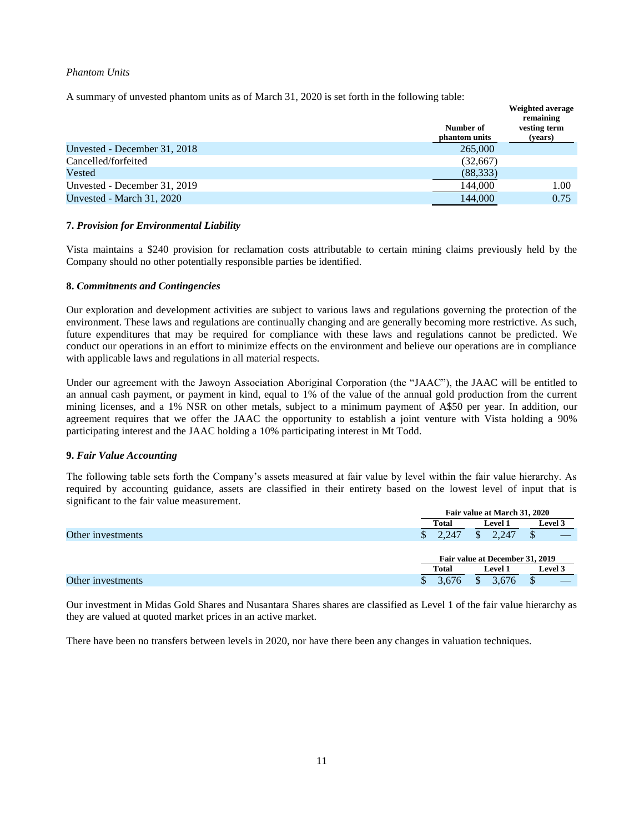## *Phantom Units*

A summary of unvested phantom units as of March 31, 2020 is set forth in the following table:

|                              |                            | Weighted average<br>remaining |
|------------------------------|----------------------------|-------------------------------|
|                              | Number of<br>phantom units | vesting term<br>(years)       |
| Unvested - December 31, 2018 | 265,000                    |                               |
| Cancelled/forfeited          | (32,667)                   |                               |
| Vested                       | (88, 333)                  |                               |
| Unvested - December 31, 2019 | 144,000                    | 1.00                          |
| Unvested - March 31, 2020    | 144,000                    | 0.75                          |

#### **7.** *Provision for Environmental Liability*

Vista maintains a \$240 provision for reclamation costs attributable to certain mining claims previously held by the Company should no other potentially responsible parties be identified.

#### **8.** *Commitments and Contingencies*

Our exploration and development activities are subject to various laws and regulations governing the protection of the environment. These laws and regulations are continually changing and are generally becoming more restrictive. As such, future expenditures that may be required for compliance with these laws and regulations cannot be predicted. We conduct our operations in an effort to minimize effects on the environment and believe our operations are in compliance with applicable laws and regulations in all material respects.

Under our agreement with the Jawoyn Association Aboriginal Corporation (the "JAAC"), the JAAC will be entitled to an annual cash payment, or payment in kind, equal to 1% of the value of the annual gold production from the current mining licenses, and a 1% NSR on other metals, subject to a minimum payment of A\$50 per year. In addition, our agreement requires that we offer the JAAC the opportunity to establish a joint venture with Vista holding a 90% participating interest and the JAAC holding a 10% participating interest in Mt Todd.

#### **9.** *Fair Value Accounting*

The following table sets forth the Company's assets measured at fair value by level within the fair value hierarchy. As required by accounting guidance, assets are classified in their entirety based on the lowest level of input that is significant to the fair value measurement.

|                   |              | Fair value at March 31, 2020    |                |  |  |
|-------------------|--------------|---------------------------------|----------------|--|--|
|                   | <b>Total</b> | <b>Level 1</b>                  | <b>Level 3</b> |  |  |
| Other investments | 2.247        | 2.247                           |                |  |  |
|                   |              | Fair value at December 31, 2019 |                |  |  |
|                   | Total        | <b>Level 1</b>                  | <b>Level 3</b> |  |  |
| Other investments | 3.676        | 3.676                           |                |  |  |

Our investment in Midas Gold Shares and Nusantara Shares shares are classified as Level 1 of the fair value hierarchy as they are valued at quoted market prices in an active market.

There have been no transfers between levels in 2020, nor have there been any changes in valuation techniques.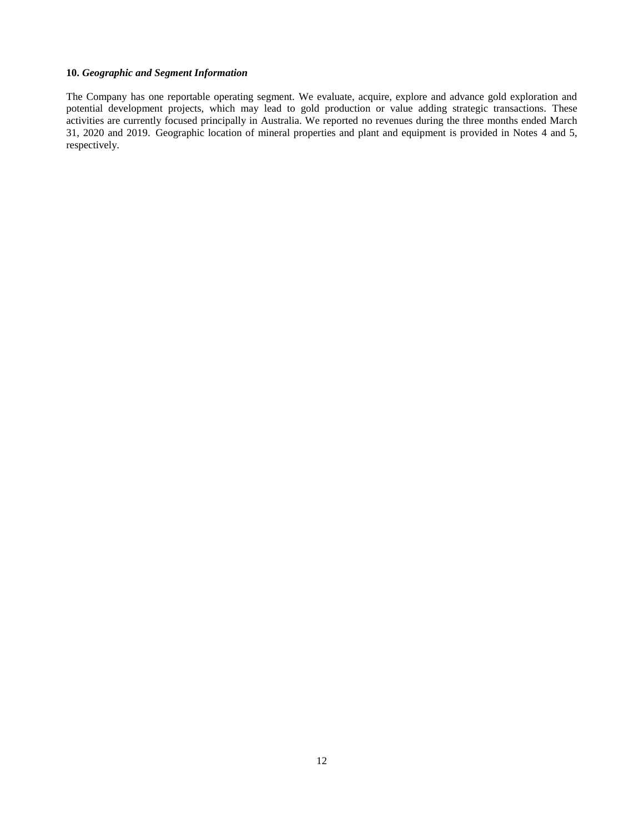# **10.** *Geographic and Segment Information*

The Company has one reportable operating segment. We evaluate, acquire, explore and advance gold exploration and potential development projects, which may lead to gold production or value adding strategic transactions. These activities are currently focused principally in Australia. We reported no revenues during the three months ended March 31, 2020 and 2019. Geographic location of mineral properties and plant and equipment is provided in Notes 4 and 5, respectively.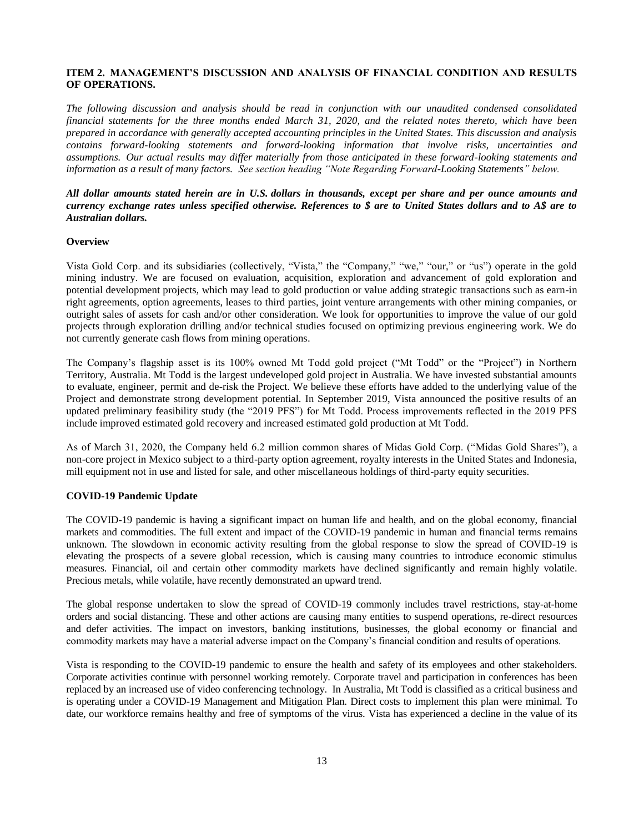# <span id="page-12-0"></span>**ITEM 2. MANAGEMENT'S DISCUSSION AND ANALYSIS OF FINANCIAL CONDITION AND RESULTS OF OPERATIONS.**

*The following discussion and analysis should be read in conjunction with our unaudited condensed consolidated financial statements for the three months ended March 31, 2020, and the related notes thereto, which have been prepared in accordance with generally accepted accounting principles in the United States. This discussion and analysis contains forward-looking statements and forward-looking information that involve risks, uncertainties and assumptions. Our actual results may differ materially from those anticipated in these forward-looking statements and information as a result of many factors. See section heading "Note Regarding Forward-Looking Statements" below.*

# *All dollar amounts stated herein are in U.S. dollars in thousands, except per share and per ounce amounts and currency exchange rates unless specified otherwise. References to \$ are to United States dollars and to A\$ are to Australian dollars.*

# **Overview**

Vista Gold Corp. and its subsidiaries (collectively, "Vista," the "Company," "we," "our," or "us") operate in the gold mining industry. We are focused on evaluation, acquisition, exploration and advancement of gold exploration and potential development projects, which may lead to gold production or value adding strategic transactions such as earn-in right agreements, option agreements, leases to third parties, joint venture arrangements with other mining companies, or outright sales of assets for cash and/or other consideration. We look for opportunities to improve the value of our gold projects through exploration drilling and/or technical studies focused on optimizing previous engineering work. We do not currently generate cash flows from mining operations.

The Company's flagship asset is its 100% owned Mt Todd gold project ("Mt Todd" or the "Project") in Northern Territory, Australia. Mt Todd is the largest undeveloped gold project in Australia. We have invested substantial amounts to evaluate, engineer, permit and de-risk the Project. We believe these efforts have added to the underlying value of the Project and demonstrate strong development potential. In September 2019, Vista announced the positive results of an updated preliminary feasibility study (the "2019 PFS") for Mt Todd. Process improvements reflected in the 2019 PFS include improved estimated gold recovery and increased estimated gold production at Mt Todd.

As of March 31, 2020, the Company held 6.2 million common shares of Midas Gold Corp. ("Midas Gold Shares"), a non-core project in Mexico subject to a third-party option agreement, royalty interests in the United States and Indonesia, mill equipment not in use and listed for sale, and other miscellaneous holdings of third-party equity securities.

#### **COVID-19 Pandemic Update**

The COVID-19 pandemic is having a significant impact on human life and health, and on the global economy, financial markets and commodities. The full extent and impact of the COVID-19 pandemic in human and financial terms remains unknown. The slowdown in economic activity resulting from the global response to slow the spread of COVID-19 is elevating the prospects of a severe global recession, which is causing many countries to introduce economic stimulus measures. Financial, oil and certain other commodity markets have declined significantly and remain highly volatile. Precious metals, while volatile, have recently demonstrated an upward trend.

The global response undertaken to slow the spread of COVID-19 commonly includes travel restrictions, stay-at-home orders and social distancing. These and other actions are causing many entities to suspend operations, re-direct resources and defer activities. The impact on investors, banking institutions, businesses, the global economy or financial and commodity markets may have a material adverse impact on the Company's financial condition and results of operations.

Vista is responding to the COVID-19 pandemic to ensure the health and safety of its employees and other stakeholders. Corporate activities continue with personnel working remotely. Corporate travel and participation in conferences has been replaced by an increased use of video conferencing technology. In Australia, Mt Todd is classified as a critical business and is operating under a COVID-19 Management and Mitigation Plan. Direct costs to implement this plan were minimal. To date, our workforce remains healthy and free of symptoms of the virus. Vista has experienced a decline in the value of its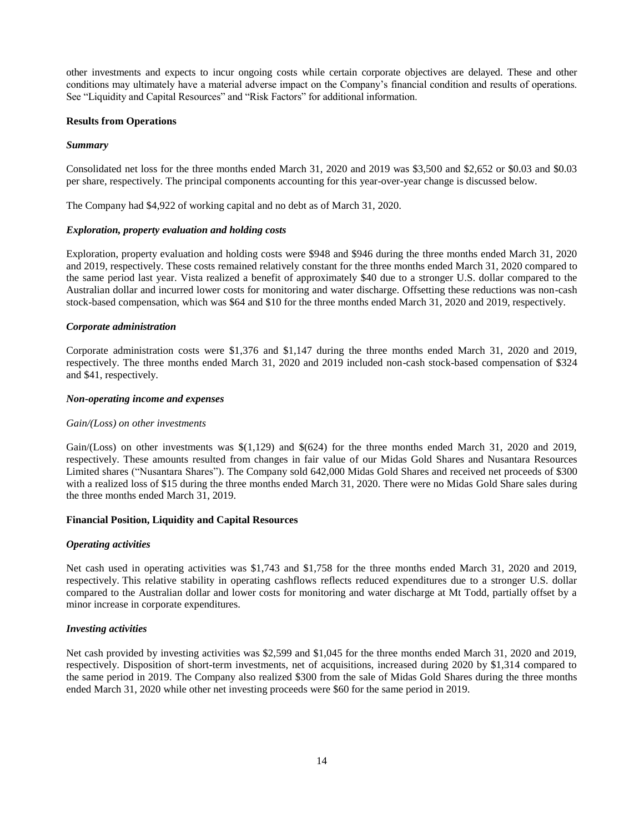other investments and expects to incur ongoing costs while certain corporate objectives are delayed. These and other conditions may ultimately have a material adverse impact on the Company's financial condition and results of operations. See "Liquidity and Capital Resources" and "Risk Factors" for additional information.

#### **Results from Operations**

#### *Summary*

Consolidated net loss for the three months ended March 31, 2020 and 2019 was \$3,500 and \$2,652 or \$0.03 and \$0.03 per share, respectively. The principal components accounting for this year-over-year change is discussed below.

The Company had \$4,922 of working capital and no debt as of March 31, 2020.

#### *Exploration, property evaluation and holding costs*

Exploration, property evaluation and holding costs were \$948 and \$946 during the three months ended March 31, 2020 and 2019, respectively. These costs remained relatively constant for the three months ended March 31, 2020 compared to the same period last year. Vista realized a benefit of approximately \$40 due to a stronger U.S. dollar compared to the Australian dollar and incurred lower costs for monitoring and water discharge. Offsetting these reductions was non-cash stock-based compensation, which was \$64 and \$10 for the three months ended March 31, 2020 and 2019, respectively.

#### *Corporate administration*

Corporate administration costs were \$1,376 and \$1,147 during the three months ended March 31, 2020 and 2019, respectively. The three months ended March 31, 2020 and 2019 included non-cash stock-based compensation of \$324 and \$41, respectively.

#### *Non-operating income and expenses*

#### *Gain/(Loss) on other investments*

Gain/(Loss) on other investments was \$(1,129) and \$(624) for the three months ended March 31, 2020 and 2019, respectively. These amounts resulted from changes in fair value of our Midas Gold Shares and Nusantara Resources Limited shares ("Nusantara Shares"). The Company sold 642,000 Midas Gold Shares and received net proceeds of \$300 with a realized loss of \$15 during the three months ended March 31, 2020. There were no Midas Gold Share sales during the three months ended March 31, 2019.

# **Financial Position, Liquidity and Capital Resources**

#### *Operating activities*

Net cash used in operating activities was \$1,743 and \$1,758 for the three months ended March 31, 2020 and 2019, respectively. This relative stability in operating cashflows reflects reduced expenditures due to a stronger U.S. dollar compared to the Australian dollar and lower costs for monitoring and water discharge at Mt Todd, partially offset by a minor increase in corporate expenditures.

#### *Investing activities*

Net cash provided by investing activities was \$2,599 and \$1,045 for the three months ended March 31, 2020 and 2019, respectively. Disposition of short-term investments, net of acquisitions, increased during 2020 by \$1,314 compared to the same period in 2019. The Company also realized \$300 from the sale of Midas Gold Shares during the three months ended March 31, 2020 while other net investing proceeds were \$60 for the same period in 2019.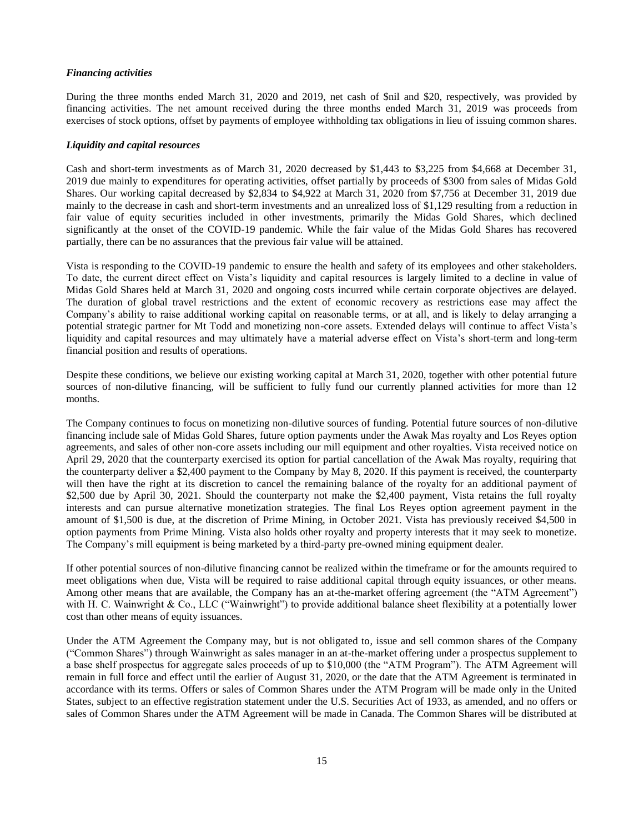#### *Financing activities*

During the three months ended March 31, 2020 and 2019, net cash of \$nil and \$20, respectively, was provided by financing activities. The net amount received during the three months ended March 31, 2019 was proceeds from exercises of stock options, offset by payments of employee withholding tax obligations in lieu of issuing common shares.

#### *Liquidity and capital resources*

Cash and short-term investments as of March 31, 2020 decreased by \$1,443 to \$3,225 from \$4,668 at December 31, 2019 due mainly to expenditures for operating activities, offset partially by proceeds of \$300 from sales of Midas Gold Shares. Our working capital decreased by \$2,834 to \$4,922 at March 31, 2020 from \$7,756 at December 31, 2019 due mainly to the decrease in cash and short-term investments and an unrealized loss of \$1,129 resulting from a reduction in fair value of equity securities included in other investments, primarily the Midas Gold Shares, which declined significantly at the onset of the COVID-19 pandemic. While the fair value of the Midas Gold Shares has recovered partially, there can be no assurances that the previous fair value will be attained.

Vista is responding to the COVID-19 pandemic to ensure the health and safety of its employees and other stakeholders. To date, the current direct effect on Vista's liquidity and capital resources is largely limited to a decline in value of Midas Gold Shares held at March 31, 2020 and ongoing costs incurred while certain corporate objectives are delayed. The duration of global travel restrictions and the extent of economic recovery as restrictions ease may affect the Company's ability to raise additional working capital on reasonable terms, or at all, and is likely to delay arranging a potential strategic partner for Mt Todd and monetizing non-core assets. Extended delays will continue to affect Vista's liquidity and capital resources and may ultimately have a material adverse effect on Vista's short-term and long-term financial position and results of operations.

Despite these conditions, we believe our existing working capital at March 31, 2020, together with other potential future sources of non-dilutive financing, will be sufficient to fully fund our currently planned activities for more than 12 months.

The Company continues to focus on monetizing non-dilutive sources of funding. Potential future sources of non-dilutive financing include sale of Midas Gold Shares, future option payments under the Awak Mas royalty and Los Reyes option agreements, and sales of other non-core assets including our mill equipment and other royalties. Vista received notice on April 29, 2020 that the counterparty exercised its option for partial cancellation of the Awak Mas royalty, requiring that the counterparty deliver a \$2,400 payment to the Company by May 8, 2020. If this payment is received, the counterparty will then have the right at its discretion to cancel the remaining balance of the royalty for an additional payment of \$2,500 due by April 30, 2021. Should the counterparty not make the \$2,400 payment, Vista retains the full royalty interests and can pursue alternative monetization strategies. The final Los Reyes option agreement payment in the amount of \$1,500 is due, at the discretion of Prime Mining, in October 2021. Vista has previously received \$4,500 in option payments from Prime Mining. Vista also holds other royalty and property interests that it may seek to monetize. The Company's mill equipment is being marketed by a third-party pre-owned mining equipment dealer.

If other potential sources of non-dilutive financing cannot be realized within the timeframe or for the amounts required to meet obligations when due, Vista will be required to raise additional capital through equity issuances, or other means. Among other means that are available, the Company has an at-the-market offering agreement (the "ATM Agreement") with H. C. Wainwright & Co., LLC ("Wainwright") to provide additional balance sheet flexibility at a potentially lower cost than other means of equity issuances.

Under the ATM Agreement the Company may, but is not obligated to, issue and sell common shares of the Company ("Common Shares") through Wainwright as sales manager in an at-the-market offering under a prospectus supplement to a base shelf prospectus for aggregate sales proceeds of up to \$10,000 (the "ATM Program"). The ATM Agreement will remain in full force and effect until the earlier of August 31, 2020, or the date that the ATM Agreement is terminated in accordance with its terms. Offers or sales of Common Shares under the ATM Program will be made only in the United States, subject to an effective registration statement under the U.S. Securities Act of 1933, as amended, and no offers or sales of Common Shares under the ATM Agreement will be made in Canada. The Common Shares will be distributed at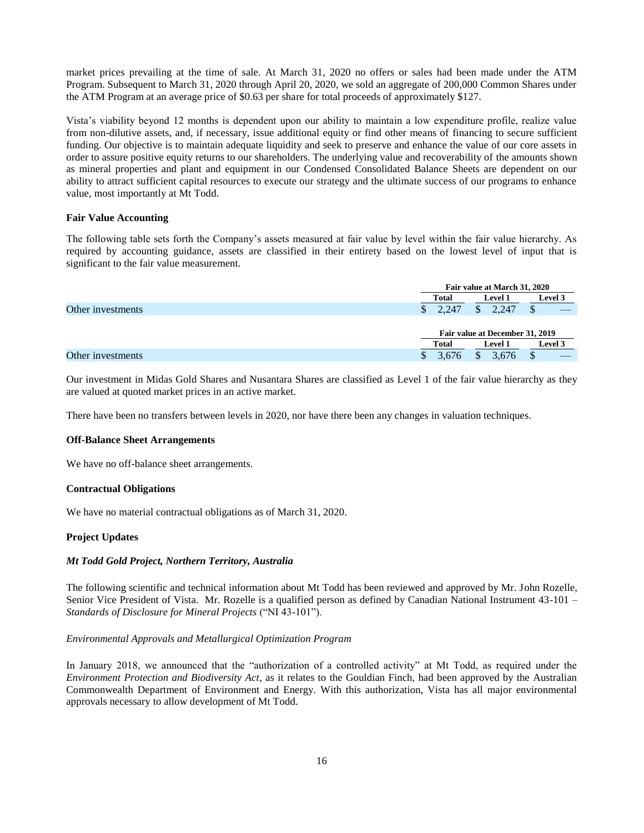market prices prevailing at the time of sale. At March 31, 2020 no offers or sales had been made under the ATM Program. Subsequent to March 31, 2020 through April 20, 2020, we sold an aggregate of 200,000 Common Shares under the ATM Program at an average price of \$0.63 per share for total proceeds of approximately \$127.

Vista's viability beyond 12 months is dependent upon our ability to maintain a low expenditure profile, realize value from non-dilutive assets, and, if necessary, issue additional equity or find other means of financing to secure sufficient funding. Our objective is to maintain adequate liquidity and seek to preserve and enhance the value of our core assets in order to assure positive equity returns to our shareholders. The underlying value and recoverability of the amounts shown as mineral properties and plant and equipment in our Condensed Consolidated Balance Sheets are dependent on our ability to attract sufficient capital resources to execute our strategy and the ultimate success of our programs to enhance value, most importantly at Mt Todd.

#### **Fair Value Accounting**

The following table sets forth the Company's assets measured at fair value by level within the fair value hierarchy. As required by accounting guidance, assets are classified in their entirety based on the lowest level of input that is significant to the fair value measurement.

|                   |       | Fair value at March 31, 2020    |                |  |  |
|-------------------|-------|---------------------------------|----------------|--|--|
|                   | Total | <b>Level 1</b>                  | Level 3        |  |  |
| Other investments | 2.247 | 2.247                           | Φ              |  |  |
|                   |       |                                 |                |  |  |
|                   |       | Fair value at December 31, 2019 |                |  |  |
|                   | Total | <b>Level 1</b>                  | <b>Level 3</b> |  |  |
| Other investments | 3.676 | 3.676                           | ◡              |  |  |

Our investment in Midas Gold Shares and Nusantara Shares are classified as Level 1 of the fair value hierarchy as they are valued at quoted market prices in an active market.

There have been no transfers between levels in 2020, nor have there been any changes in valuation techniques.

#### **Off-Balance Sheet Arrangements**

We have no off-balance sheet arrangements.

#### **Contractual Obligations**

We have no material contractual obligations as of March 31, 2020.

# **Project Updates**

#### *Mt Todd Gold Project, Northern Territory, Australia*

The following scientific and technical information about Mt Todd has been reviewed and approved by Mr. John Rozelle, Senior Vice President of Vista. Mr. Rozelle is a qualified person as defined by Canadian National Instrument 43-101 – *Standards of Disclosure for Mineral Projects* ("NI 43-101").

#### *Environmental Approvals and Metallurgical Optimization Program*

In January 2018, we announced that the "authorization of a controlled activity" at Mt Todd, as required under the *Environment Protection and Biodiversity Act*, as it relates to the Gouldian Finch, had been approved by the Australian Commonwealth Department of Environment and Energy. With this authorization, Vista has all major environmental approvals necessary to allow development of Mt Todd.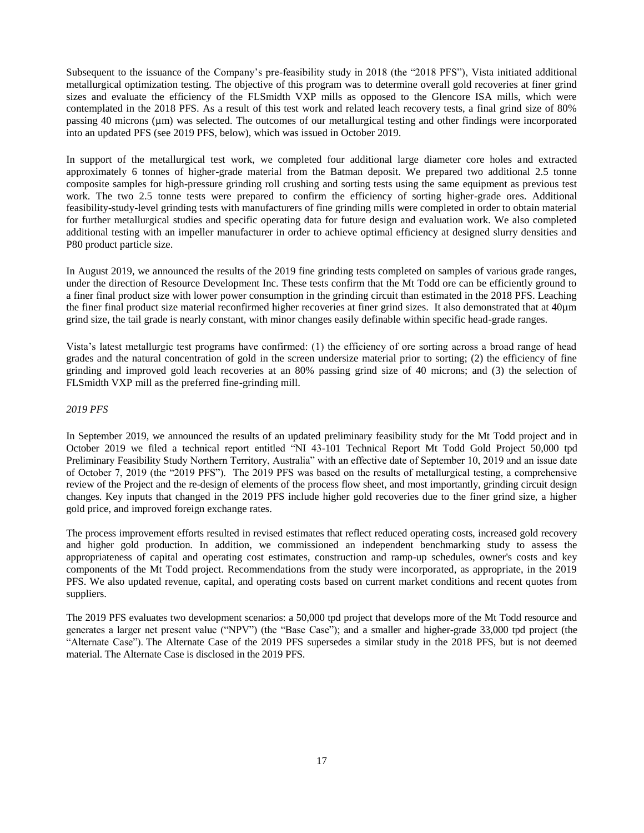Subsequent to the issuance of the Company's pre-feasibility study in 2018 (the "2018 PFS"), Vista initiated additional metallurgical optimization testing. The objective of this program was to determine overall gold recoveries at finer grind sizes and evaluate the efficiency of the FLSmidth VXP mills as opposed to the Glencore ISA mills, which were contemplated in the 2018 PFS. As a result of this test work and related leach recovery tests, a final grind size of 80% passing 40 microns (µm) was selected. The outcomes of our metallurgical testing and other findings were incorporated into an updated PFS (see 2019 PFS, below), which was issued in October 2019.

In support of the metallurgical test work, we completed four additional large diameter core holes and extracted approximately 6 tonnes of higher-grade material from the Batman deposit. We prepared two additional 2.5 tonne composite samples for high-pressure grinding roll crushing and sorting tests using the same equipment as previous test work. The two 2.5 tonne tests were prepared to confirm the efficiency of sorting higher-grade ores. Additional feasibility-study-level grinding tests with manufacturers of fine grinding mills were completed in order to obtain material for further metallurgical studies and specific operating data for future design and evaluation work. We also completed additional testing with an impeller manufacturer in order to achieve optimal efficiency at designed slurry densities and P80 product particle size.

In August 2019, we announced the results of the 2019 fine grinding tests completed on samples of various grade ranges, under the direction of Resource Development Inc. These tests confirm that the Mt Todd ore can be efficiently ground to a finer final product size with lower power consumption in the grinding circuit than estimated in the 2018 PFS. Leaching the finer final product size material reconfirmed higher recoveries at finer grind sizes. It also demonstrated that at 40µm grind size, the tail grade is nearly constant, with minor changes easily definable within specific head-grade ranges.

Vista's latest metallurgic test programs have confirmed: (1) the efficiency of ore sorting across a broad range of head grades and the natural concentration of gold in the screen undersize material prior to sorting; (2) the efficiency of fine grinding and improved gold leach recoveries at an 80% passing grind size of 40 microns; and (3) the selection of FLSmidth VXP mill as the preferred fine-grinding mill.

#### *2019 PFS*

In September 2019, we announced the results of an updated preliminary feasibility study for the Mt Todd project and in October 2019 we filed a technical report entitled "NI 43-101 Technical Report Mt Todd Gold Project 50,000 tpd Preliminary Feasibility Study Northern Territory, Australia" with an effective date of September 10, 2019 and an issue date of October 7, 2019 (the "2019 PFS"). The 2019 PFS was based on the results of metallurgical testing, a comprehensive review of the Project and the re-design of elements of the process flow sheet, and most importantly, grinding circuit design changes. Key inputs that changed in the 2019 PFS include higher gold recoveries due to the finer grind size, a higher gold price, and improved foreign exchange rates.

The process improvement efforts resulted in revised estimates that reflect reduced operating costs, increased gold recovery and higher gold production. In addition, we commissioned an independent benchmarking study to assess the appropriateness of capital and operating cost estimates, construction and ramp-up schedules, owner's costs and key components of the Mt Todd project. Recommendations from the study were incorporated, as appropriate, in the 2019 PFS. We also updated revenue, capital, and operating costs based on current market conditions and recent quotes from suppliers.

The 2019 PFS evaluates two development scenarios: a 50,000 tpd project that develops more of the Mt Todd resource and generates a larger net present value ("NPV") (the "Base Case"); and a smaller and higher-grade 33,000 tpd project (the "Alternate Case"). The Alternate Case of the 2019 PFS supersedes a similar study in the 2018 PFS, but is not deemed material. The Alternate Case is disclosed in the 2019 PFS.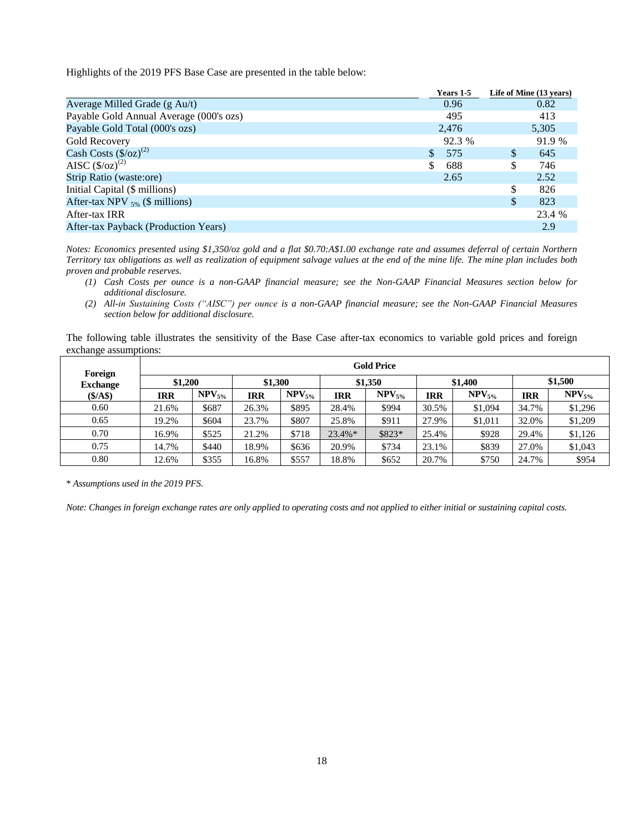Highlights of the 2019 PFS Base Case are presented in the table below:

|                                         | Years 1-5            |     | Life of Mine (13 years) |
|-----------------------------------------|----------------------|-----|-------------------------|
| Average Milled Grade (g Au/t)           | 0.96                 |     | 0.82                    |
| Payable Gold Annual Average (000's ozs) | 495                  |     | 413                     |
| Payable Gold Total (000's ozs)          | 2,476                |     | 5,305                   |
| Gold Recovery                           | 92.3 %               |     | 91.9 %                  |
| Cash Costs $(\frac{6}{2})^{(2)}$        | 575<br><sup>\$</sup> | \$  | 645                     |
| AISC $(\frac{6}{2})^{(2)}$              | \$<br>688            | \$. | 746                     |
| Strip Ratio (waste:ore)                 | 2.65                 |     | 2.52                    |
| Initial Capital (\$ millions)           |                      | \$  | 826                     |
| After-tax NPV $_{5\%}$ (\$ millions)    |                      | \$  | 823                     |
| After-tax IRR                           |                      |     | 23.4 %                  |
| After-tax Payback (Production Years)    |                      |     | 2.9                     |

*Notes: Economics presented using \$1,350/oz gold and a flat \$0.70:A\$1.00 exchange rate and assumes deferral of certain Northern Territory tax obligations as well as realization of equipment salvage values at the end of the mine life. The mine plan includes both proven and probable reserves.* 

- *(1) Cash Costs per ounce is a non-GAAP financial measure; see the Non-GAAP Financial Measures section below for additional disclosure.*
- *(2) All-in Sustaining Costs ("AISC") per ounce is a non-GAAP financial measure; see the Non-GAAP Financial Measures section below for additional disclosure.*

The following table illustrates the sensitivity of the Base Case after-tax economics to variable gold prices and foreign exchange assumptions:

| Foreign         | <b>Gold Price</b>             |             |       |             |           |             |            |             |            |             |
|-----------------|-------------------------------|-------------|-------|-------------|-----------|-------------|------------|-------------|------------|-------------|
| <b>Exchange</b> | \$1,200<br>\$1,300<br>\$1,350 |             |       |             |           |             | \$1,400    |             | \$1,500    |             |
| (S/AS)          | <b>IRR</b>                    | $NPV_{5\%}$ | IRR   | $NPV_{5\%}$ | IRR       | $NPV_{5\%}$ | <b>IRR</b> | $NPV_{5\%}$ | <b>IRR</b> | $NPV_{5\%}$ |
| 0.60            | 21.6%                         | \$687       | 26.3% | \$895       | 28.4%     | \$994       | 30.5%      | \$1,094     | 34.7%      | \$1,296     |
| 0.65            | 19.2%                         | \$604       | 23.7% | \$807       | 25.8%     | \$911       | 27.9%      | \$1,011     | 32.0%      | \$1,209     |
| 0.70            | 16.9%                         | \$525       | 21.2% | \$718       | $23.4\%*$ | \$823*      | 25.4%      | \$928       | 29.4%      | \$1,126     |
| 0.75            | 14.7%                         | \$440       | 18.9% | \$636       | 20.9%     | \$734       | 23.1%      | \$839       | 27.0%      | \$1,043     |
| 0.80            | 12.6%                         | \$355       | 16.8% | \$557       | 18.8%     | \$652       | 20.7%      | \$750       | 24.7%      | \$954       |

\* *Assumptions used in the 2019 PFS.*

*Note: Changes in foreign exchange rates are only applied to operating costs and not applied to either initial or sustaining capital costs.*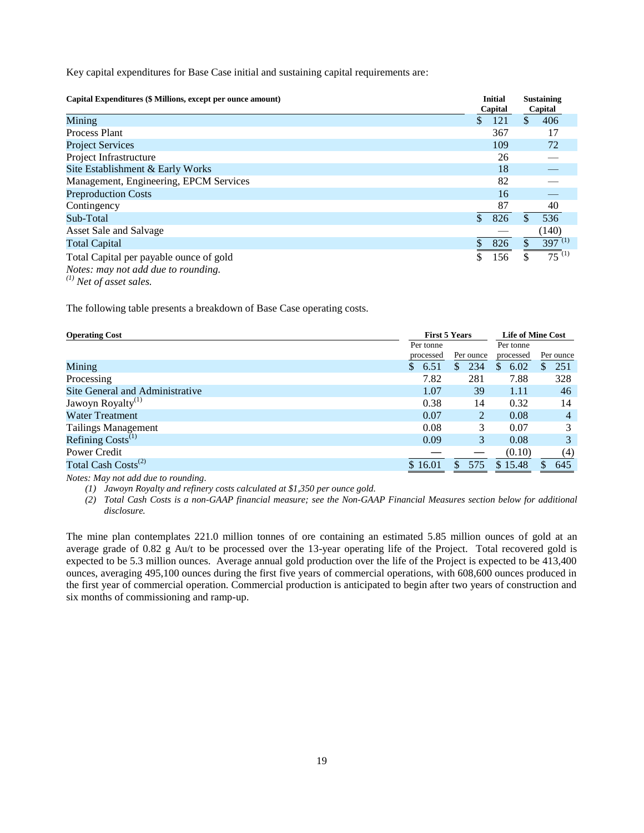Key capital expenditures for Base Case initial and sustaining capital requirements are:

| Capital Expenditures (\$ Millions, except per ounce amount)                           |              | <b>Initial</b><br>Capital |   | <b>Sustaining</b><br>Capital |
|---------------------------------------------------------------------------------------|--------------|---------------------------|---|------------------------------|
| Mining                                                                                | $\mathbb{S}$ | 121                       | S | 406                          |
| <b>Process Plant</b>                                                                  |              | 367                       |   | 17                           |
| <b>Project Services</b>                                                               |              | 109                       |   | 72                           |
| Project Infrastructure                                                                |              | 26                        |   |                              |
| Site Establishment & Early Works                                                      |              | 18                        |   |                              |
| Management, Engineering, EPCM Services                                                |              | 82                        |   |                              |
| <b>Preproduction Costs</b>                                                            |              | 16                        |   |                              |
| Contingency                                                                           |              | 87                        |   | 40                           |
| Sub-Total                                                                             | \$           | 826                       |   | 536                          |
| Asset Sale and Salvage                                                                |              |                           |   | (140)                        |
| <b>Total Capital</b>                                                                  | \$           | 826                       |   | $397^{(1)}$                  |
| Total Capital per payable ounce of gold<br><i>Notes: may not add due to rounding.</i> |              | 156                       |   | $\overline{75}^{(1)}$        |

*(1) Net of asset sales.*

The following table presents a breakdown of Base Case operating costs.

| <b>First 5 Years</b><br><b>Operating Cost</b> |           | <b>Life of Mine Cost</b> |                      |                     |
|-----------------------------------------------|-----------|--------------------------|----------------------|---------------------|
|                                               | Per tonne |                          | Per tonne            |                     |
|                                               | processed | Per ounce                | processed            | Per ounce           |
| Mining                                        | 6.51      | 234<br>S                 | 6.02<br><sup>S</sup> | 251<br><sup>S</sup> |
| Processing                                    | 7.82      | 281                      | 7.88                 | 328                 |
| Site General and Administrative               | 1.07      | 39                       | 1.11                 | 46                  |
| Jawoyn Royalty <sup>(1)</sup>                 | 0.38      | 14                       | 0.32                 | 14                  |
| <b>Water Treatment</b>                        | 0.07      | 2                        | 0.08                 | 4                   |
| <b>Tailings Management</b>                    | 0.08      | 3                        | 0.07                 | 3                   |
| Refining $Costs^{(1)}$                        | 0.09      | 3                        | 0.08                 | 3                   |
| Power Credit                                  |           |                          | (0.10)               | (4)                 |
| Total Cash Costs <sup>(2)</sup>               | \$16.01   | 575<br>S.                | \$15.48              | 645                 |

*Notes: May not add due to rounding.* 

*(1) Jawoyn Royalty and refinery costs calculated at \$1,350 per ounce gold.* 

*(2) Total Cash Costs is a non-GAAP financial measure; see the Non-GAAP Financial Measures section below for additional disclosure.*

The mine plan contemplates 221.0 million tonnes of ore containing an estimated 5.85 million ounces of gold at an average grade of 0.82 g Au/t to be processed over the 13-year operating life of the Project. Total recovered gold is expected to be 5.3 million ounces. Average annual gold production over the life of the Project is expected to be 413,400 ounces, averaging 495,100 ounces during the first five years of commercial operations, with 608,600 ounces produced in the first year of commercial operation. Commercial production is anticipated to begin after two years of construction and six months of commissioning and ramp-up.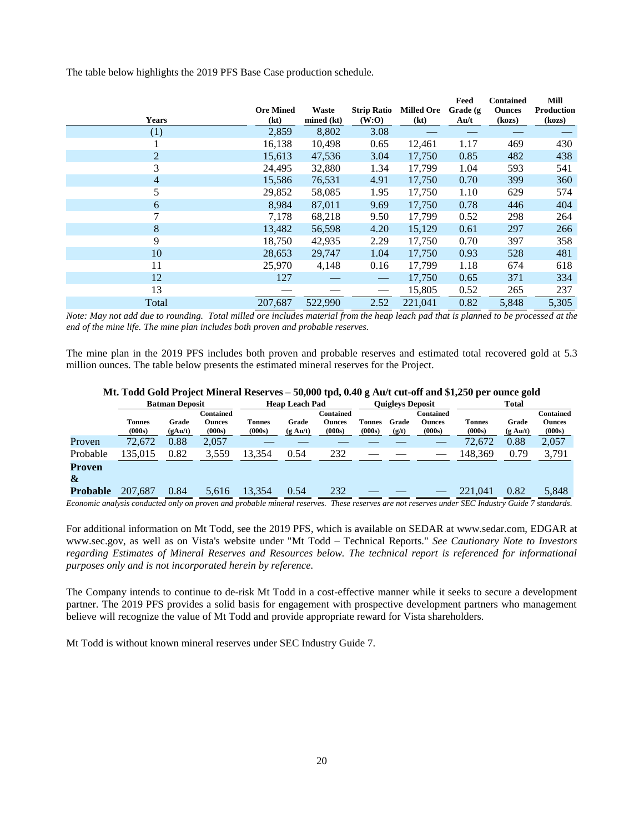The table below highlights the 2019 PFS Base Case production schedule.

|                |                  |            |                                               |                   | Feed                               | <b>Contained</b> | Mill              |
|----------------|------------------|------------|-----------------------------------------------|-------------------|------------------------------------|------------------|-------------------|
|                | <b>Ore Mined</b> | Waste      | <b>Strip Ratio</b>                            | <b>Milled Ore</b> | Grade (g)                          | <b>Ounces</b>    | <b>Production</b> |
| <b>Years</b>   | (kt)             | mined (kt) | (W:O)                                         | (kt)              | $\mathbf{A} \mathbf{u}/\mathbf{t}$ | (kozs)           | (kozs)            |
| (1)            | 2,859            | 8,802      | 3.08                                          |                   |                                    |                  |                   |
|                | 16,138           | 10,498     | 0.65                                          | 12,461            | 1.17                               | 469              | 430               |
| $\overline{2}$ | 15,613           | 47,536     | 3.04                                          | 17,750            | 0.85                               | 482              | 438               |
| 3              | 24,495           | 32,880     | 1.34                                          | 17,799            | 1.04                               | 593              | 541               |
| $\overline{4}$ | 15,586           | 76,531     | 4.91                                          | 17,750            | 0.70                               | 399              | 360               |
| 5              | 29,852           | 58,085     | 1.95                                          | 17,750            | 1.10                               | 629              | 574               |
| 6              | 8,984            | 87,011     | 9.69                                          | 17,750            | 0.78                               | 446              | 404               |
| 7              | 7,178            | 68,218     | 9.50                                          | 17,799            | 0.52                               | 298              | 264               |
| 8              | 13,482           | 56,598     | 4.20                                          | 15,129            | 0.61                               | 297              | 266               |
| 9              | 18,750           | 42,935     | 2.29                                          | 17,750            | 0.70                               | 397              | 358               |
| 10             | 28,653           | 29,747     | 1.04                                          | 17,750            | 0.93                               | 528              | 481               |
| 11             | 25,970           | 4,148      | 0.16                                          | 17,799            | 1.18                               | 674              | 618               |
| 12             | 127              |            | $\hspace{0.1mm}-\hspace{0.1mm}$               | 17,750            | 0.65                               | 371              | 334               |
| 13             |                  |            | $\qquad \qquad \overbrace{\qquad \qquad }^{}$ | 15,805            | 0.52                               | 265              | 237               |
| Total          | 207,687          | 522,990    | 2.52                                          | 221,041           | 0.82                               | 5,848            | 5,305             |

*Note: May not add due to rounding. Total milled ore includes material from the heap leach pad that is planned to be processed at the end of the mine life. The mine plan includes both proven and probable reserves.*

The mine plan in the 2019 PFS includes both proven and probable reserves and estimated total recovered gold at 5.3 million ounces. The table below presents the estimated mineral reserves for the Project.

| Mt. Todd Gold Project Mineral Reserves – 50,000 tpd, 0.40 g Au/t cut-off and \$1,250 per ounce gold |  |  |  |
|-----------------------------------------------------------------------------------------------------|--|--|--|
|-----------------------------------------------------------------------------------------------------|--|--|--|

|                                 | <b>Batman Deposit</b>   |                  |                               | <b>Heap Leach Pad</b>   |                             |                                             | <b>Ouigleys Deposit</b> |                |                                      | <b>Total</b>            |                                                |                                      |
|---------------------------------|-------------------------|------------------|-------------------------------|-------------------------|-----------------------------|---------------------------------------------|-------------------------|----------------|--------------------------------------|-------------------------|------------------------------------------------|--------------------------------------|
|                                 | <b>Tonnes</b><br>(000s) | Grade<br>(gAu/t) | Contained<br>Ounces<br>(000s) | <b>Tonnes</b><br>(000s) | Grade<br>$(g \text{ Au}/t)$ | <b>Contained</b><br><b>Ounces</b><br>(000s) | <b>Tonnes</b><br>(000s) | Grade<br>(g/t) | Contained<br><b>Ounces</b><br>(000s) | <b>Tonnes</b><br>(000s) | Grade<br>$(g \text{ Au}/t)$                    | Contained<br><b>Ounces</b><br>(000s) |
| Proven                          | 72,672                  | 0.88             | 2,057                         |                         |                             |                                             |                         |                |                                      | 72,672                  | 0.88                                           | 2,057                                |
| Probable                        | 135,015                 | 0.82             | 3,559                         | 13.354                  | 0.54                        | 232                                         |                         |                |                                      | 148.369                 | 0.79                                           | 3,791                                |
| Proven<br>&                     |                         |                  |                               |                         |                             |                                             |                         |                |                                      |                         |                                                |                                      |
| <b>Probable</b><br>$\mathbf{r}$ | 207,687                 | 0.84             | 5.616                         | 13.354<br>$\cdots$      | 0.54                        | 232<br>$\sim$                               |                         |                |                                      | 221,041<br>CDQI         | 0.82<br>$\overline{a}$<br>$\sim \cdot$ $\cdot$ | 5,848                                |

*Economic analysis conducted only on proven and probable mineral reserves. These reserves are not reserves under SEC Industry Guide 7 standards.*

For additional information on Mt Todd, see the 2019 PFS, which is available on SEDAR at www.sedar.com, EDGAR at www.sec.gov, as well as on Vista's website under "Mt Todd – Technical Reports." *See Cautionary Note to Investors regarding Estimates of Mineral Reserves and Resources below. The technical report is referenced for informational purposes only and is not incorporated herein by reference.*

The Company intends to continue to de-risk Mt Todd in a cost-effective manner while it seeks to secure a development partner. The 2019 PFS provides a solid basis for engagement with prospective development partners who management believe will recognize the value of Mt Todd and provide appropriate reward for Vista shareholders.

Mt Todd is without known mineral reserves under SEC Industry Guide 7.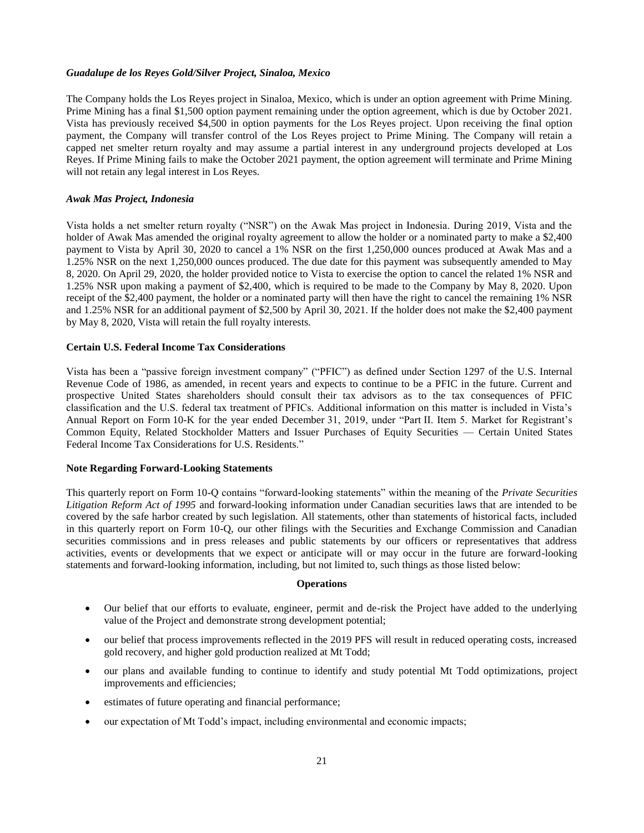#### *Guadalupe de los Reyes Gold/Silver Project, Sinaloa, Mexico*

The Company holds the Los Reyes project in Sinaloa, Mexico, which is under an option agreement with Prime Mining. Prime Mining has a final \$1,500 option payment remaining under the option agreement, which is due by October 2021. Vista has previously received \$4,500 in option payments for the Los Reyes project. Upon receiving the final option payment, the Company will transfer control of the Los Reyes project to Prime Mining. The Company will retain a capped net smelter return royalty and may assume a partial interest in any underground projects developed at Los Reyes. If Prime Mining fails to make the October 2021 payment, the option agreement will terminate and Prime Mining will not retain any legal interest in Los Reyes.

#### *Awak Mas Project, Indonesia*

Vista holds a net smelter return royalty ("NSR") on the Awak Mas project in Indonesia. During 2019, Vista and the holder of Awak Mas amended the original royalty agreement to allow the holder or a nominated party to make a \$2,400 payment to Vista by April 30, 2020 to cancel a 1% NSR on the first 1,250,000 ounces produced at Awak Mas and a 1.25% NSR on the next 1,250,000 ounces produced. The due date for this payment was subsequently amended to May 8, 2020. On April 29, 2020, the holder provided notice to Vista to exercise the option to cancel the related 1% NSR and 1.25% NSR upon making a payment of \$2,400, which is required to be made to the Company by May 8, 2020. Upon receipt of the \$2,400 payment, the holder or a nominated party will then have the right to cancel the remaining 1% NSR and 1.25% NSR for an additional payment of \$2,500 by April 30, 2021. If the holder does not make the \$2,400 payment by May 8, 2020, Vista will retain the full royalty interests.

#### **Certain U.S. Federal Income Tax Considerations**

Vista has been a "passive foreign investment company" ("PFIC") as defined under Section 1297 of the U.S. Internal Revenue Code of 1986, as amended, in recent years and expects to continue to be a PFIC in the future. Current and prospective United States shareholders should consult their tax advisors as to the tax consequences of PFIC classification and the U.S. federal tax treatment of PFICs. Additional information on this matter is included in Vista's Annual Report on Form 10-K for the year ended December 31, 2019, under "Part II. Item 5. Market for Registrant's Common Equity, Related Stockholder Matters and Issuer Purchases of Equity Securities — Certain United States Federal Income Tax Considerations for U.S. Residents."

## **Note Regarding Forward-Looking Statements**

This quarterly report on Form 10-Q contains "forward-looking statements" within the meaning of the *Private Securities Litigation Reform Act of 1995* and forward-looking information under Canadian securities laws that are intended to be covered by the safe harbor created by such legislation. All statements, other than statements of historical facts, included in this quarterly report on Form 10-Q, our other filings with the Securities and Exchange Commission and Canadian securities commissions and in press releases and public statements by our officers or representatives that address activities, events or developments that we expect or anticipate will or may occur in the future are forward-looking statements and forward-looking information, including, but not limited to, such things as those listed below:

## **Operations**

- Our belief that our efforts to evaluate, engineer, permit and de-risk the Project have added to the underlying value of the Project and demonstrate strong development potential;
- our belief that process improvements reflected in the 2019 PFS will result in reduced operating costs, increased gold recovery, and higher gold production realized at Mt Todd;
- our plans and available funding to continue to identify and study potential Mt Todd optimizations, project improvements and efficiencies;
- estimates of future operating and financial performance;
- our expectation of Mt Todd's impact, including environmental and economic impacts;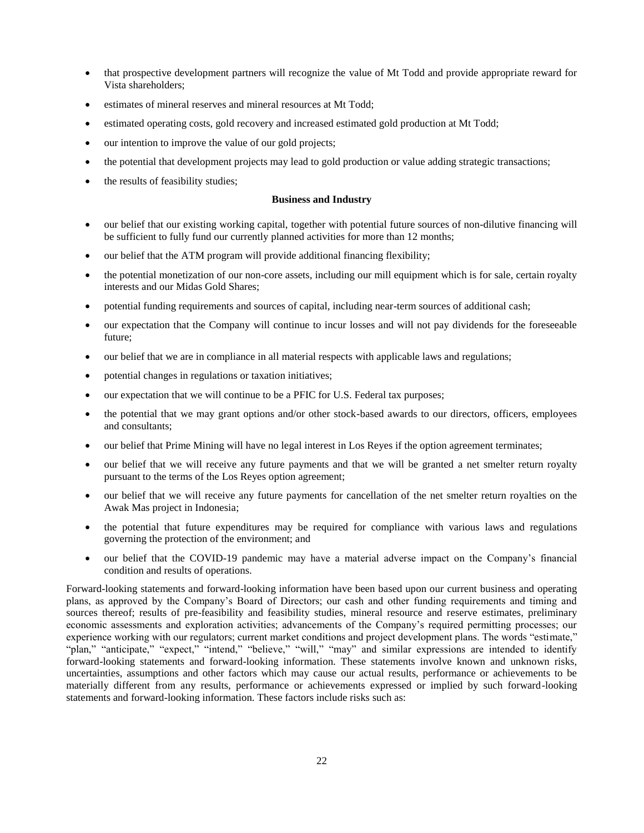- that prospective development partners will recognize the value of Mt Todd and provide appropriate reward for Vista shareholders;
- estimates of mineral reserves and mineral resources at Mt Todd;
- estimated operating costs, gold recovery and increased estimated gold production at Mt Todd;
- our intention to improve the value of our gold projects;
- the potential that development projects may lead to gold production or value adding strategic transactions;
- the results of feasibility studies;

## **Business and Industry**

- our belief that our existing working capital, together with potential future sources of non-dilutive financing will be sufficient to fully fund our currently planned activities for more than 12 months;
- our belief that the ATM program will provide additional financing flexibility;
- the potential monetization of our non-core assets, including our mill equipment which is for sale, certain royalty interests and our Midas Gold Shares;
- potential funding requirements and sources of capital, including near-term sources of additional cash;
- our expectation that the Company will continue to incur losses and will not pay dividends for the foreseeable future;
- our belief that we are in compliance in all material respects with applicable laws and regulations;
- potential changes in regulations or taxation initiatives;
- our expectation that we will continue to be a PFIC for U.S. Federal tax purposes;
- the potential that we may grant options and/or other stock-based awards to our directors, officers, employees and consultants;
- our belief that Prime Mining will have no legal interest in Los Reyes if the option agreement terminates;
- our belief that we will receive any future payments and that we will be granted a net smelter return royalty pursuant to the terms of the Los Reyes option agreement;
- our belief that we will receive any future payments for cancellation of the net smelter return royalties on the Awak Mas project in Indonesia;
- the potential that future expenditures may be required for compliance with various laws and regulations governing the protection of the environment; and
- our belief that the COVID-19 pandemic may have a material adverse impact on the Company's financial condition and results of operations.

Forward-looking statements and forward-looking information have been based upon our current business and operating plans, as approved by the Company's Board of Directors; our cash and other funding requirements and timing and sources thereof; results of pre-feasibility and feasibility studies, mineral resource and reserve estimates, preliminary economic assessments and exploration activities; advancements of the Company's required permitting processes; our experience working with our regulators; current market conditions and project development plans. The words "estimate," "plan," "anticipate," "expect," "intend," "believe," "will," "may" and similar expressions are intended to identify forward-looking statements and forward-looking information. These statements involve known and unknown risks, uncertainties, assumptions and other factors which may cause our actual results, performance or achievements to be materially different from any results, performance or achievements expressed or implied by such forward-looking statements and forward-looking information. These factors include risks such as: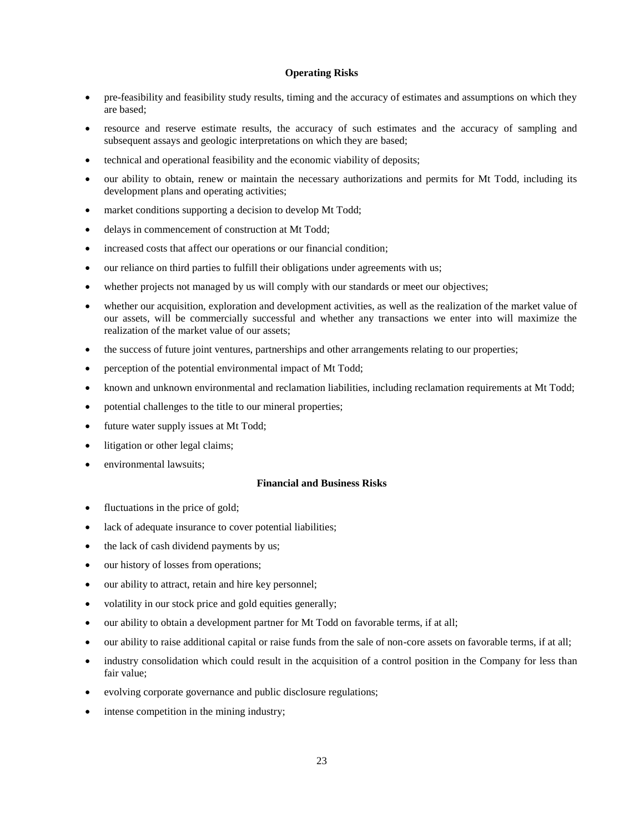## **Operating Risks**

- pre-feasibility and feasibility study results, timing and the accuracy of estimates and assumptions on which they are based;
- resource and reserve estimate results, the accuracy of such estimates and the accuracy of sampling and subsequent assays and geologic interpretations on which they are based;
- technical and operational feasibility and the economic viability of deposits;
- our ability to obtain, renew or maintain the necessary authorizations and permits for Mt Todd, including its development plans and operating activities;
- market conditions supporting a decision to develop Mt Todd;
- delays in commencement of construction at Mt Todd;
- increased costs that affect our operations or our financial condition;
- our reliance on third parties to fulfill their obligations under agreements with us;
- whether projects not managed by us will comply with our standards or meet our objectives;
- whether our acquisition, exploration and development activities, as well as the realization of the market value of our assets, will be commercially successful and whether any transactions we enter into will maximize the realization of the market value of our assets;
- the success of future joint ventures, partnerships and other arrangements relating to our properties;
- perception of the potential environmental impact of Mt Todd;
- known and unknown environmental and reclamation liabilities, including reclamation requirements at Mt Todd;
- potential challenges to the title to our mineral properties;
- future water supply issues at Mt Todd;
- litigation or other legal claims;
- environmental lawsuits;

#### **Financial and Business Risks**

- fluctuations in the price of gold;
- lack of adequate insurance to cover potential liabilities;
- the lack of cash dividend payments by us;
- our history of losses from operations;
- our ability to attract, retain and hire key personnel;
- volatility in our stock price and gold equities generally;
- our ability to obtain a development partner for Mt Todd on favorable terms, if at all;
- our ability to raise additional capital or raise funds from the sale of non-core assets on favorable terms, if at all;
- industry consolidation which could result in the acquisition of a control position in the Company for less than fair value;
- evolving corporate governance and public disclosure regulations;
- intense competition in the mining industry;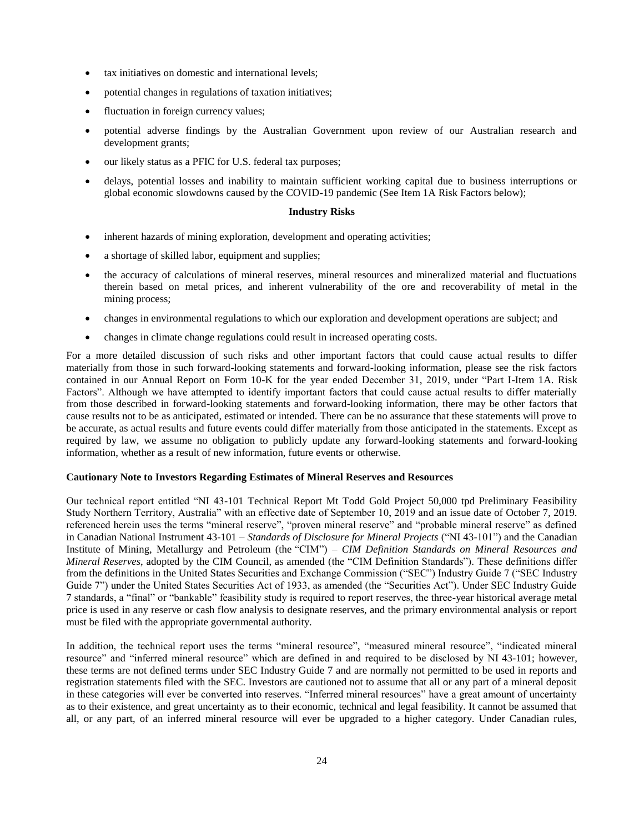- tax initiatives on domestic and international levels;
- potential changes in regulations of taxation initiatives;
- fluctuation in foreign currency values;
- potential adverse findings by the Australian Government upon review of our Australian research and development grants;
- our likely status as a PFIC for U.S. federal tax purposes;
- delays, potential losses and inability to maintain sufficient working capital due to business interruptions or global economic slowdowns caused by the COVID-19 pandemic (See Item 1A Risk Factors below);

#### **Industry Risks**

- inherent hazards of mining exploration, development and operating activities;
- a shortage of skilled labor, equipment and supplies;
- the accuracy of calculations of mineral reserves, mineral resources and mineralized material and fluctuations therein based on metal prices, and inherent vulnerability of the ore and recoverability of metal in the mining process;
- changes in environmental regulations to which our exploration and development operations are subject; and
- changes in climate change regulations could result in increased operating costs.

For a more detailed discussion of such risks and other important factors that could cause actual results to differ materially from those in such forward-looking statements and forward-looking information, please see the risk factors contained in our Annual Report on Form 10-K for the year ended December 31, 2019, under "Part I-Item 1A. Risk Factors". Although we have attempted to identify important factors that could cause actual results to differ materially from those described in forward-looking statements and forward-looking information, there may be other factors that cause results not to be as anticipated, estimated or intended. There can be no assurance that these statements will prove to be accurate, as actual results and future events could differ materially from those anticipated in the statements. Except as required by law, we assume no obligation to publicly update any forward-looking statements and forward-looking information, whether as a result of new information, future events or otherwise.

#### **Cautionary Note to Investors Regarding Estimates of Mineral Reserves and Resources**

Our technical report entitled "NI 43-101 Technical Report Mt Todd Gold Project 50,000 tpd Preliminary Feasibility Study Northern Territory, Australia" with an effective date of September 10, 2019 and an issue date of October 7, 2019. referenced herein uses the terms "mineral reserve", "proven mineral reserve" and "probable mineral reserve" as defined in Canadian National Instrument 43-101 – *Standards of Disclosure for Mineral Projects* ("NI 43-101") and the Canadian Institute of Mining, Metallurgy and Petroleum (the "CIM") – *CIM Definition Standards on Mineral Resources and Mineral Reserves*, adopted by the CIM Council, as amended (the "CIM Definition Standards"). These definitions differ from the definitions in the United States Securities and Exchange Commission ("SEC") Industry Guide 7 ("SEC Industry Guide 7") under the United States Securities Act of 1933, as amended (the "Securities Act"). Under SEC Industry Guide 7 standards, a "final" or "bankable" feasibility study is required to report reserves, the three-year historical average metal price is used in any reserve or cash flow analysis to designate reserves, and the primary environmental analysis or report must be filed with the appropriate governmental authority.

In addition, the technical report uses the terms "mineral resource", "measured mineral resource", "indicated mineral resource" and "inferred mineral resource" which are defined in and required to be disclosed by NI 43-101; however, these terms are not defined terms under SEC Industry Guide 7 and are normally not permitted to be used in reports and registration statements filed with the SEC. Investors are cautioned not to assume that all or any part of a mineral deposit in these categories will ever be converted into reserves. "Inferred mineral resources" have a great amount of uncertainty as to their existence, and great uncertainty as to their economic, technical and legal feasibility. It cannot be assumed that all, or any part, of an inferred mineral resource will ever be upgraded to a higher category. Under Canadian rules,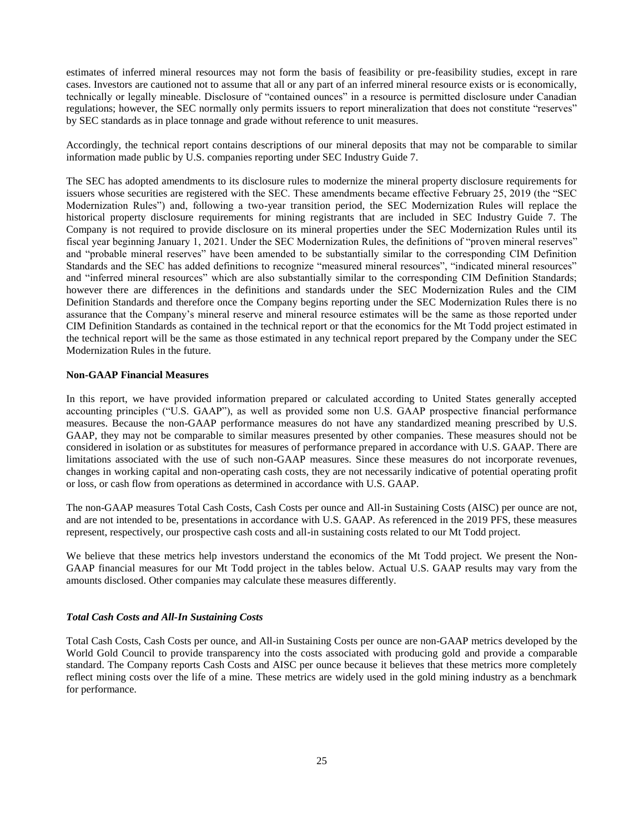estimates of inferred mineral resources may not form the basis of feasibility or pre-feasibility studies, except in rare cases. Investors are cautioned not to assume that all or any part of an inferred mineral resource exists or is economically, technically or legally mineable. Disclosure of "contained ounces" in a resource is permitted disclosure under Canadian regulations; however, the SEC normally only permits issuers to report mineralization that does not constitute "reserves" by SEC standards as in place tonnage and grade without reference to unit measures.

Accordingly, the technical report contains descriptions of our mineral deposits that may not be comparable to similar information made public by U.S. companies reporting under SEC Industry Guide 7.

The SEC has adopted amendments to its disclosure rules to modernize the mineral property disclosure requirements for issuers whose securities are registered with the SEC. These amendments became effective February 25, 2019 (the "SEC Modernization Rules") and, following a two-year transition period, the SEC Modernization Rules will replace the historical property disclosure requirements for mining registrants that are included in SEC Industry Guide 7. The Company is not required to provide disclosure on its mineral properties under the SEC Modernization Rules until its fiscal year beginning January 1, 2021. Under the SEC Modernization Rules, the definitions of "proven mineral reserves" and "probable mineral reserves" have been amended to be substantially similar to the corresponding CIM Definition Standards and the SEC has added definitions to recognize "measured mineral resources", "indicated mineral resources" and "inferred mineral resources" which are also substantially similar to the corresponding CIM Definition Standards; however there are differences in the definitions and standards under the SEC Modernization Rules and the CIM Definition Standards and therefore once the Company begins reporting under the SEC Modernization Rules there is no assurance that the Company's mineral reserve and mineral resource estimates will be the same as those reported under CIM Definition Standards as contained in the technical report or that the economics for the Mt Todd project estimated in the technical report will be the same as those estimated in any technical report prepared by the Company under the SEC Modernization Rules in the future.

### **Non-GAAP Financial Measures**

In this report, we have provided information prepared or calculated according to United States generally accepted accounting principles ("U.S. GAAP"), as well as provided some non U.S. GAAP prospective financial performance measures. Because the non-GAAP performance measures do not have any standardized meaning prescribed by U.S. GAAP, they may not be comparable to similar measures presented by other companies. These measures should not be considered in isolation or as substitutes for measures of performance prepared in accordance with U.S. GAAP. There are limitations associated with the use of such non-GAAP measures. Since these measures do not incorporate revenues, changes in working capital and non-operating cash costs, they are not necessarily indicative of potential operating profit or loss, or cash flow from operations as determined in accordance with U.S. GAAP.

The non-GAAP measures Total Cash Costs, Cash Costs per ounce and All-in Sustaining Costs (AISC) per ounce are not, and are not intended to be, presentations in accordance with U.S. GAAP. As referenced in the 2019 PFS, these measures represent, respectively, our prospective cash costs and all-in sustaining costs related to our Mt Todd project.

We believe that these metrics help investors understand the economics of the Mt Todd project. We present the Non-GAAP financial measures for our Mt Todd project in the tables below. Actual U.S. GAAP results may vary from the amounts disclosed. Other companies may calculate these measures differently.

#### *Total Cash Costs and All-In Sustaining Costs*

Total Cash Costs, Cash Costs per ounce, and All-in Sustaining Costs per ounce are non-GAAP metrics developed by the World Gold Council to provide transparency into the costs associated with producing gold and provide a comparable standard. The Company reports Cash Costs and AISC per ounce because it believes that these metrics more completely reflect mining costs over the life of a mine. These metrics are widely used in the gold mining industry as a benchmark for performance.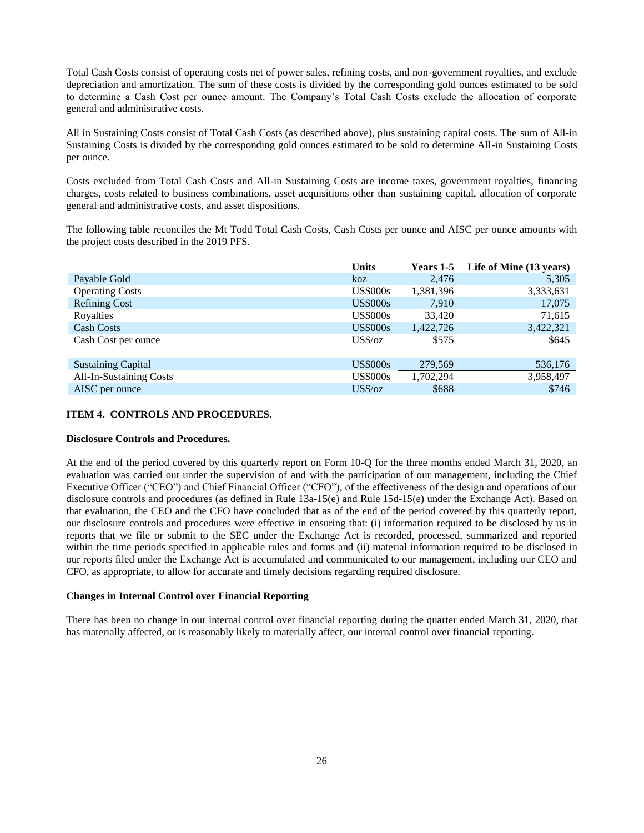Total Cash Costs consist of operating costs net of power sales, refining costs, and non-government royalties, and exclude depreciation and amortization. The sum of these costs is divided by the corresponding gold ounces estimated to be sold to determine a Cash Cost per ounce amount. The Company's Total Cash Costs exclude the allocation of corporate general and administrative costs.

All in Sustaining Costs consist of Total Cash Costs (as described above), plus sustaining capital costs. The sum of All-in Sustaining Costs is divided by the corresponding gold ounces estimated to be sold to determine All-in Sustaining Costs per ounce.

Costs excluded from Total Cash Costs and All-in Sustaining Costs are income taxes, government royalties, financing charges, costs related to business combinations, asset acquisitions other than sustaining capital, allocation of corporate general and administrative costs, and asset dispositions.

The following table reconciles the Mt Todd Total Cash Costs, Cash Costs per ounce and AISC per ounce amounts with the project costs described in the 2019 PFS.

|                                | <b>Units</b>    | <b>Years 1-5</b> | Life of Mine (13 years) |
|--------------------------------|-----------------|------------------|-------------------------|
| Payable Gold                   | koz             | 2,476            | 5,305                   |
| <b>Operating Costs</b>         | <b>US\$000s</b> | 1,381,396        | 3,333,631               |
| <b>Refining Cost</b>           | <b>US\$000s</b> | 7.910            | 17,075                  |
| Royalties                      | <b>US\$000s</b> | 33,420           | 71,615                  |
| <b>Cash Costs</b>              | <b>US\$000s</b> | 1,422,726        | 3,422,321               |
| Cash Cost per ounce            | $US\%$ /oz      | \$575            | \$645                   |
| <b>Sustaining Capital</b>      | <b>US\$000s</b> | 279,569          | 536,176                 |
| <b>All-In-Sustaining Costs</b> | <b>US\$000s</b> | 1,702,294        | 3,958,497               |
| AISC per ounce                 | $US\%$ /oz      | \$688            | \$746                   |

## <span id="page-25-0"></span>**ITEM 4. CONTROLS AND PROCEDURES.**

# **Disclosure Controls and Procedures.**

At the end of the period covered by this quarterly report on Form 10-Q for the three months ended March 31, 2020, an evaluation was carried out under the supervision of and with the participation of our management, including the Chief Executive Officer ("CEO") and Chief Financial Officer ("CFO"), of the effectiveness of the design and operations of our disclosure controls and procedures (as defined in Rule 13a-15(e) and Rule 15d-15(e) under the Exchange Act). Based on that evaluation, the CEO and the CFO have concluded that as of the end of the period covered by this quarterly report, our disclosure controls and procedures were effective in ensuring that: (i) information required to be disclosed by us in reports that we file or submit to the SEC under the Exchange Act is recorded, processed, summarized and reported within the time periods specified in applicable rules and forms and (ii) material information required to be disclosed in our reports filed under the Exchange Act is accumulated and communicated to our management, including our CEO and CFO, as appropriate, to allow for accurate and timely decisions regarding required disclosure.

#### **Changes in Internal Control over Financial Reporting**

There has been no change in our internal control over financial reporting during the quarter ended March 31, 2020, that has materially affected, or is reasonably likely to materially affect, our internal control over financial reporting.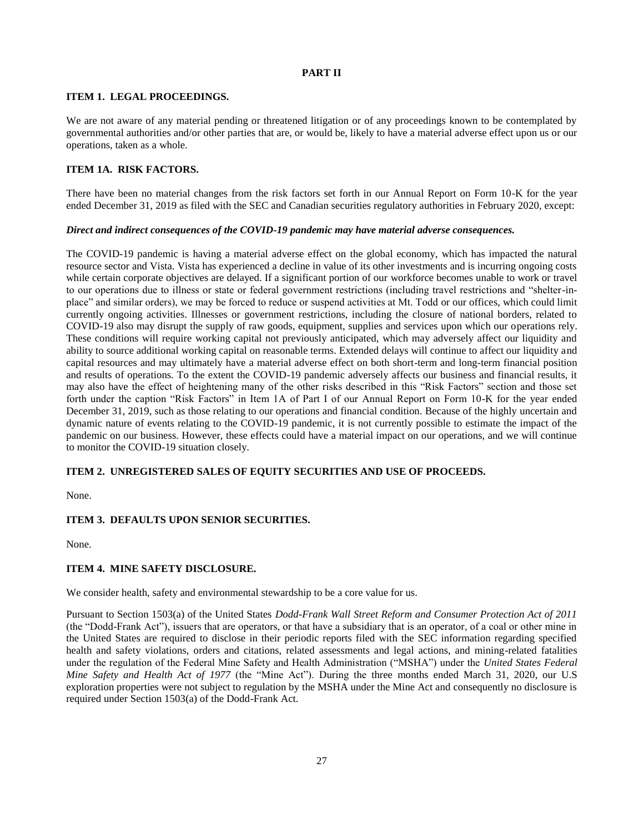# <span id="page-26-1"></span><span id="page-26-0"></span>**PART II**

# **ITEM 1. LEGAL PROCEEDINGS.**

We are not aware of any material pending or threatened litigation or of any proceedings known to be contemplated by governmental authorities and/or other parties that are, or would be, likely to have a material adverse effect upon us or our operations, taken as a whole.

# <span id="page-26-2"></span>**ITEM 1A. RISK FACTORS.**

There have been no material changes from the risk factors set forth in our Annual Report on Form 10-K for the year ended December 31, 2019 as filed with the SEC and Canadian securities regulatory authorities in February 2020, except:

## *Direct and indirect consequences of the COVID-19 pandemic may have material adverse consequences.*

The COVID-19 pandemic is having a material adverse effect on the global economy, which has impacted the natural resource sector and Vista. Vista has experienced a decline in value of its other investments and is incurring ongoing costs while certain corporate objectives are delayed. If a significant portion of our workforce becomes unable to work or travel to our operations due to illness or state or federal government restrictions (including travel restrictions and "shelter-inplace" and similar orders), we may be forced to reduce or suspend activities at Mt. Todd or our offices, which could limit currently ongoing activities. Illnesses or government restrictions, including the closure of national borders, related to COVID-19 also may disrupt the supply of raw goods, equipment, supplies and services upon which our operations rely. These conditions will require working capital not previously anticipated, which may adversely affect our liquidity and ability to source additional working capital on reasonable terms. Extended delays will continue to affect our liquidity and capital resources and may ultimately have a material adverse effect on both short-term and long-term financial position and results of operations. To the extent the COVID-19 pandemic adversely affects our business and financial results, it may also have the effect of heightening many of the other risks described in this "Risk Factors" section and those set forth under the caption "Risk Factors" in Item 1A of Part I of our Annual Report on Form 10-K for the year ended December 31, 2019, such as those relating to our operations and financial condition. Because of the highly uncertain and dynamic nature of events relating to the COVID-19 pandemic, it is not currently possible to estimate the impact of the pandemic on our business. However, these effects could have a material impact on our operations, and we will continue to monitor the COVID-19 situation closely.

# <span id="page-26-3"></span>**ITEM 2. UNREGISTERED SALES OF EQUITY SECURITIES AND USE OF PROCEEDS.**

None.

# <span id="page-26-4"></span>**ITEM 3. DEFAULTS UPON SENIOR SECURITIES.**

None.

# <span id="page-26-5"></span>**ITEM 4. MINE SAFETY DISCLOSURE.**

We consider health, safety and environmental stewardship to be a core value for us.

Pursuant to Section 1503(a) of the United States *Dodd-Frank Wall Street Reform and Consumer Protection Act of 2011* (the "Dodd-Frank Act"), issuers that are operators, or that have a subsidiary that is an operator, of a coal or other mine in the United States are required to disclose in their periodic reports filed with the SEC information regarding specified health and safety violations, orders and citations, related assessments and legal actions, and mining-related fatalities under the regulation of the Federal Mine Safety and Health Administration ("MSHA") under the *United States Federal Mine Safety and Health Act of 1977* (the "Mine Act"). During the three months ended March 31, 2020, our U.S exploration properties were not subject to regulation by the MSHA under the Mine Act and consequently no disclosure is required under Section 1503(a) of the Dodd-Frank Act.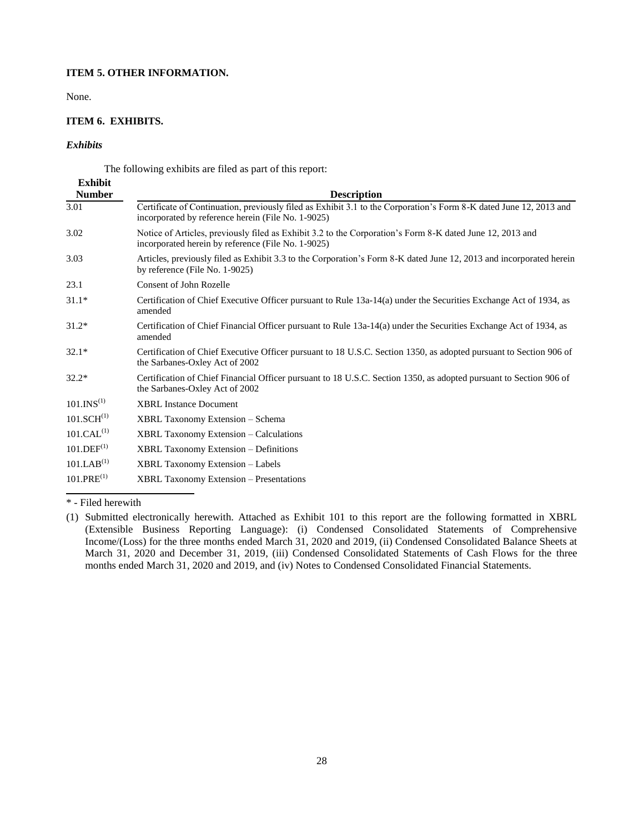# **ITEM 5. OTHER INFORMATION.**

None.

# **ITEM 6. EXHIBITS.**

# *Exhibits*

<span id="page-27-1"></span><span id="page-27-0"></span>The following exhibits are filed as part of this report:

| <b>Exhibit</b><br><b>Number</b> | <b>Description</b>                                                                                                                                                       |
|---------------------------------|--------------------------------------------------------------------------------------------------------------------------------------------------------------------------|
| 3.01                            | Certificate of Continuation, previously filed as Exhibit 3.1 to the Corporation's Form 8-K dated June 12, 2013 and<br>incorporated by reference herein (File No. 1-9025) |
| 3.02                            | Notice of Articles, previously filed as Exhibit 3.2 to the Corporation's Form 8-K dated June 12, 2013 and<br>incorporated herein by reference (File No. 1-9025)          |
| 3.03                            | Articles, previously filed as Exhibit 3.3 to the Corporation's Form 8-K dated June 12, 2013 and incorporated herein<br>by reference (File No. 1-9025)                    |
| 23.1                            | Consent of John Rozelle                                                                                                                                                  |
| $31.1*$                         | Certification of Chief Executive Officer pursuant to Rule 13a-14(a) under the Securities Exchange Act of 1934, as<br>amended                                             |
| $31.2*$                         | Certification of Chief Financial Officer pursuant to Rule 13a-14(a) under the Securities Exchange Act of 1934, as<br>amended                                             |
| $32.1*$                         | Certification of Chief Executive Officer pursuant to 18 U.S.C. Section 1350, as adopted pursuant to Section 906 of<br>the Sarbanes-Oxley Act of 2002                     |
| $32.2*$                         | Certification of Chief Financial Officer pursuant to 18 U.S.C. Section 1350, as adopted pursuant to Section 906 of<br>the Sarbanes-Oxley Act of 2002                     |
| 101.INS <sup>(1)</sup>          | <b>XBRL Instance Document</b>                                                                                                                                            |
| 101.SCH <sup>(1)</sup>          | XBRL Taxonomy Extension - Schema                                                                                                                                         |
| 101.CAL <sup>(1)</sup>          | <b>XBRL Taxonomy Extension – Calculations</b>                                                                                                                            |
| 101.DEF <sup>(1)</sup>          | <b>XBRL Taxonomy Extension – Definitions</b>                                                                                                                             |
| 101.LAB <sup>(1)</sup>          | <b>XBRL Taxonomy Extension – Labels</b>                                                                                                                                  |
| $101.PRE^{(1)}$                 | <b>XBRL Taxonomy Extension – Presentations</b>                                                                                                                           |

\* - Filed herewith

<sup>(1)</sup> Submitted electronically herewith. Attached as Exhibit 101 to this report are the following formatted in XBRL (Extensible Business Reporting Language): (i) Condensed Consolidated Statements of Comprehensive Income/(Loss) for the three months ended March 31, 2020 and 2019, (ii) Condensed Consolidated Balance Sheets at March 31, 2020 and December 31, 2019, (iii) Condensed Consolidated Statements of Cash Flows for the three months ended March 31, 2020 and 2019, and (iv) Notes to Condensed Consolidated Financial Statements.